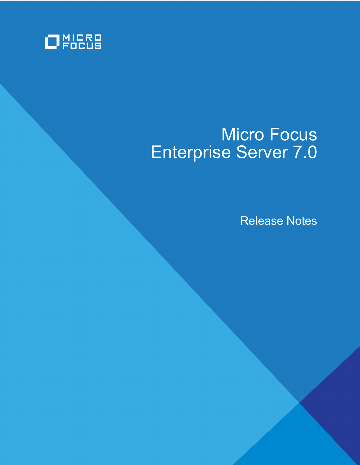

# Micro Focus Enterprise Server 7.0

Release Notes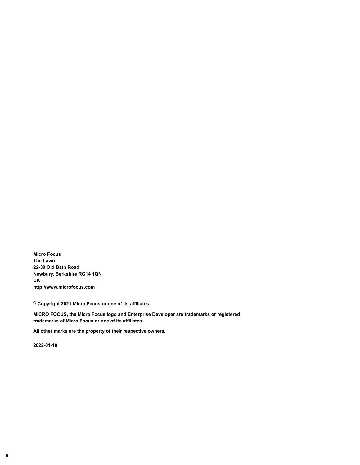**Micro Focus The Lawn 22-30 Old Bath Road Newbury, Berkshire RG14 1QN UK http://www.microfocus.com**

**© Copyright 2021 Micro Focus or one of its affiliates.**

**MICRO FOCUS, the Micro Focus logo and Enterprise Developer are trademarks or registered trademarks of Micro Focus or one of its affiliates.**

**All other marks are the property of their respective owners.**

**2022-01-10**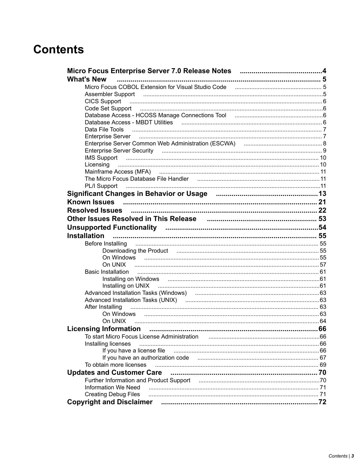# **Contents**

| <b>What's New</b>                                                                                                                                                                         |    |
|-------------------------------------------------------------------------------------------------------------------------------------------------------------------------------------------|----|
| Micro Focus COBOL Extension for Visual Studio Code (all material contract material of 5                                                                                                   |    |
|                                                                                                                                                                                           |    |
| <b>CICS Support</b>                                                                                                                                                                       |    |
|                                                                                                                                                                                           |    |
| Database Access - HCOSS Manage Connections Tool [11] matters and access - HCOSS Manage Connections Tool [11] matters and access - HCOSS Manage Connections Tool [11] matters and access - |    |
|                                                                                                                                                                                           |    |
| Data File Tools                                                                                                                                                                           |    |
|                                                                                                                                                                                           |    |
|                                                                                                                                                                                           |    |
|                                                                                                                                                                                           |    |
|                                                                                                                                                                                           |    |
| Licensing                                                                                                                                                                                 |    |
| Mainframe Access (MFA) (and the contract of the contract of the contract of the contract of the contract of th                                                                            |    |
|                                                                                                                                                                                           |    |
|                                                                                                                                                                                           |    |
|                                                                                                                                                                                           |    |
| <b>Known Issues</b>                                                                                                                                                                       |    |
|                                                                                                                                                                                           |    |
| Other Issues Resolved in This Release manual continuum control 53                                                                                                                         |    |
|                                                                                                                                                                                           |    |
| <b>Installation</b>                                                                                                                                                                       |    |
| Before Installing                                                                                                                                                                         |    |
| Downloading the Product manufactured and the Communication of 55                                                                                                                          |    |
|                                                                                                                                                                                           |    |
|                                                                                                                                                                                           |    |
| <b>Basic Installation</b>                                                                                                                                                                 |    |
|                                                                                                                                                                                           |    |
|                                                                                                                                                                                           |    |
|                                                                                                                                                                                           |    |
|                                                                                                                                                                                           |    |
| After Installing                                                                                                                                                                          |    |
| On Windows                                                                                                                                                                                |    |
|                                                                                                                                                                                           |    |
| <b>Licensing Information</b>                                                                                                                                                              | 66 |
| To start Micro Focus License Administration                                                                                                                                               |    |
| Installing licenses                                                                                                                                                                       |    |
| If you have a license file                                                                                                                                                                |    |
|                                                                                                                                                                                           |    |
| To obtain more licenses                                                                                                                                                                   |    |
| <b>Updates and Customer Care</b>                                                                                                                                                          |    |
| Further Information and Product Support (and the material continuum material and To                                                                                                       |    |
| <b>Information We Need</b>                                                                                                                                                                |    |
| <b>Creating Debug Files</b>                                                                                                                                                               |    |
| <b>Copyright and Disclaimer</b>                                                                                                                                                           |    |
|                                                                                                                                                                                           |    |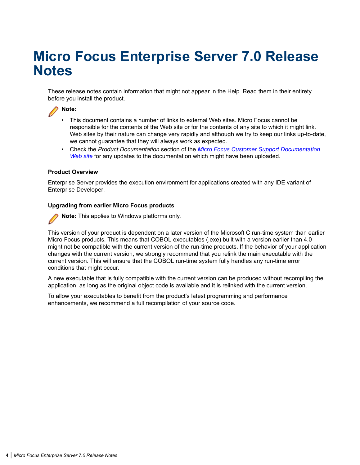# <span id="page-3-0"></span>**Micro Focus Enterprise Server 7.0 Release Notes**

These release notes contain information that might not appear in the Help. Read them in their entirety before you install the product.

# **Note:**

- This document contains a number of links to external Web sites. Micro Focus cannot be responsible for the contents of the Web site or for the contents of any site to which it might link. Web sites by their nature can change very rapidly and although we try to keep our links up-to-date, we cannot guarantee that they will always work as expected.
- Check the *Product Documentation* section of the *[Micro Focus Customer Support Documentation](https://www.microfocus.com/en-us/support/documentation/) [Web site](https://www.microfocus.com/en-us/support/documentation/)* for any updates to the documentation which might have been uploaded.

#### **Product Overview**

Enterprise Server provides the execution environment for applications created with any IDE variant of Enterprise Developer.

#### **Upgrading from earlier Micro Focus products**

**Note:** This applies to Windows platforms only.

This version of your product is dependent on a later version of the Microsoft C run-time system than earlier Micro Focus products. This means that COBOL executables (.exe) built with a version earlier than 4.0 might not be compatible with the current version of the run-time products. If the behavior of your application changes with the current version, we strongly recommend that you relink the main executable with the current version. This will ensure that the COBOL run-time system fully handles any run-time error conditions that might occur.

A new executable that is fully compatible with the current version can be produced without recompiling the application, as long as the original object code is available and it is relinked with the current version.

To allow your executables to benefit from the product's latest programming and performance enhancements, we recommend a full recompilation of your source code.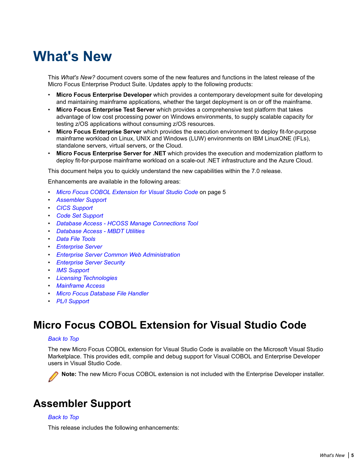# <span id="page-4-0"></span>**What's New**

This *What's New?* document covers some of the new features and functions in the latest release of the Micro Focus Enterprise Product Suite. Updates apply to the following products:

- **Micro Focus Enterprise Developer** which provides a contemporary development suite for developing and maintaining mainframe applications, whether the target deployment is on or off the mainframe.
- **Micro Focus Enterprise Test Server** which provides a comprehensive test platform that takes advantage of low cost processing power on Windows environments, to supply scalable capacity for testing z/OS applications without consuming z/OS resources.
- **Micro Focus Enterprise Server** which provides the execution environment to deploy fit-for-purpose mainframe workload on Linux, UNIX and Windows (LUW) environments on IBM LinuxONE (IFLs), standalone servers, virtual servers, or the Cloud.
- **Micro Focus Enterprise Server for .NET** which provides the execution and modernization platform to deploy fit-for-purpose mainframe workload on a scale-out .NET infrastructure and the Azure Cloud.

This document helps you to quickly understand the new capabilities within the 7.0 release.

Enhancements are available in the following areas:

- *Micro Focus COBOL Extension for Visual Studio Code* on page 5
- *Assembler Support*
- *[CICS Support](#page-5-0)*
- *[Code Set Support](#page-5-0)*
- *[Database Access HCOSS Manage Connections Tool](#page-5-0)*
- *[Database Access MBDT Utilities](#page-5-0)*
- *[Data File Tools](#page-6-0)*
- *[Enterprise Server](#page-6-0)*
- *[Enterprise Server Common Web Administration](#page-7-0)*
- *[Enterprise Server Security](#page-8-0)*
- *[IMS Support](#page-9-0)*
- *[Licensing Technologies](#page-9-0)*
- *[Mainframe Access](#page-10-0)*
- *[Micro Focus Database File Handler](#page-10-0)*
- *[PL/I Support](#page-10-0)*

# **Micro Focus COBOL Extension for Visual Studio Code**

#### *Back to Top*

The new Micro Focus COBOL extension for Visual Studio Code is available on the Microsoft Visual Studio Marketplace. This provides edit, compile and debug support for Visual COBOL and Enterprise Developer users in Visual Studio Code.



**Note:** The new Micro Focus COBOL extension is not included with the Enterprise Developer installer.

# **Assembler Support**

#### *Back to Top*

This release includes the following enhancements: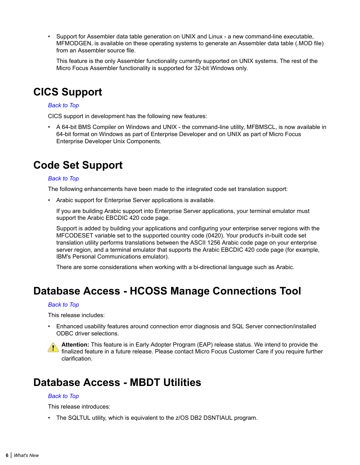<span id="page-5-0"></span>• Support for Assembler data table generation on UNIX and Linux - a new command-line executable, MFMODGEN, is available on these operating systems to generate an Assembler data table (.MOD file) from an Assembler source file.

This feature is the only Assembler functionality currently supported on UNIX systems. The rest of the Micro Focus Assembler functionality is supported for 32-bit Windows only.

# **CICS Support**

#### *[Back to Top](#page-4-0)*

CICS support in development has the following new features:

• A 64-bit BMS Compiler on Windows and UNIX - the command-line utility, MFBMSCL, is now available in 64-bit format on Windows as part of Enterprise Developer and on UNIX as part of Micro Focus Enterprise Developer Unix Components.

# **Code Set Support**

#### *[Back to Top](#page-4-0)*

The following enhancements have been made to the integrated code set translation support:

• Arabic support for Enterprise Server applications is available.

If you are building Arabic support into Enterprise Server applications, your terminal emulator must support the Arabic EBCDIC 420 code page.

Support is added by building your applications and configuring your enterprise server regions with the MFCODESET variable set to the supported country code (0420). Your product's in-built code set translation utility performs translations between the ASCII 1256 Arabic code page on your enterprise server region, and a terminal emulator that supports the Arabic EBCDIC 420 code page (for example, IBM's Personal Communications emulator).

There are some considerations when working with a bi-directional language such as Arabic.

# **Database Access - HCOSS Manage Connections Tool**

#### *[Back to Top](#page-4-0)*

This release includes:

• Enhanced usability features around connection error diagnosis and SQL Server connection/installed ODBC driver selections.

**Attention:** This feature is in Early Adopter Program (EAP) release status. We intend to provide the **Attention:** This reature is in Early Adoptor Liveral (E.M. ) Secoses Summer Care if you require further clarification.

# **Database Access - MBDT Utilities**

#### *[Back to Top](#page-4-0)*

This release introduces:

• The SQLTUL utility, which is equivalent to the z/OS DB2 DSNTIAUL program.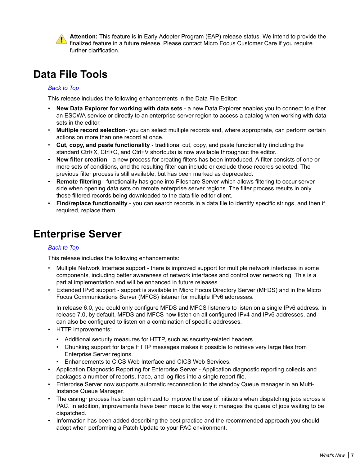<span id="page-6-0"></span>

**Attention:** This feature is in Early Adopter Program (EAP) release status. We intend to provide the finalized feature in a future release. Please contact Micro Focus Customer Care if you require further clarification.

# **Data File Tools**

# *[Back to Top](#page-4-0)*

This release includes the following enhancements in the Data File Editor:

- **New Data Explorer for working with data sets** a new Data Explorer enables you to connect to either an ESCWA service or directly to an enterprise server region to access a catalog when working with data sets in the editor.
- **Multiple record selection** you can select multiple records and, where appropriate, can perform certain actions on more than one record at once.
- **Cut, copy, and paste functionality** traditional cut, copy, and paste functionality (including the standard Ctrl+X, Ctrl+C, and Ctrl+V shortcuts) is now available throughout the editor.
- **New filter creation** a new process for creating filters has been introduced. A filter consists of one or more sets of conditions, and the resulting filter can include or exclude those records selected. The previous filter process is still available, but has been marked as deprecated.
- **Remote filtering** functionality has gone into Fileshare Server which allows filtering to occur server side when opening data sets on remote enterprise server regions. The filter process results in only those filtered records being downloaded to the data file editor client.
- **Find/replace functionality** you can search records in a data file to identify specific strings, and then if required, replace them.

# **Enterprise Server**

# *[Back to Top](#page-4-0)*

This release includes the following enhancements:

- Multiple Network Interface support there is improved support for multiple network interfaces in some components, including better awareness of network interfaces and control over networking. This is a partial implementation and will be enhanced in future releases.
- Extended IPv6 support support is available in Micro Focus Directory Server (MFDS) and in the Micro Focus Communications Server (MFCS) listener for multiple IPv6 addresses.

In release 6.0, you could only configure MFDS and MFCS listeners to listen on a single IPv6 address. In release 7.0, by default, MFDS and MFCS now listen on all configured IPv4 and IPv6 addresses, and can also be configured to listen on a combination of specific addresses.

- HTTP improvements:
	- Additional security measures for HTTP, such as security-related headers.
	- Chunking support for large HTTP messages makes it possible to retrieve very large files from Enterprise Server regions.
	- Enhancements to CICS Web Interface and CICS Web Services.
- Application Diagnostic Reporting for Enterprise Server Application diagnostic reporting collects and packages a number of reports, trace, and log files into a single report file.
- Enterprise Server now supports automatic reconnection to the standby Queue manager in an Multi-Instance Queue Manager.
- The casmgr process has been optimized to improve the use of initiators when dispatching jobs across a PAC. In addition, improvements have been made to the way it manages the queue of jobs waiting to be dispatched.
- Information has been added describing the best practice and the recommended approach you should adopt when performing a Patch Update to your PAC environment.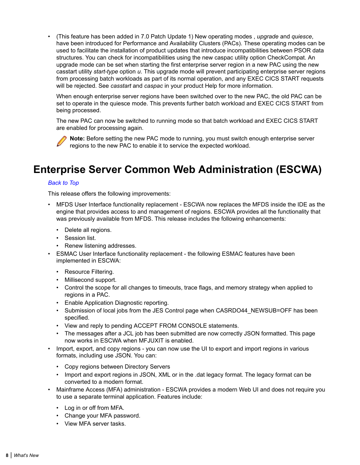<span id="page-7-0"></span>• (This feature has been added in 7.0 Patch Update 1) New operating modes , *upgrade* and *quiesce*, have been introduced for Performance and Availability Clusters (PACs). These operating modes can be used to facilitate the installation of product updates that introduce incompatibilities between PSOR data structures. You can check for incompatibilities using the new caspac utility option CheckCompat. An upgrade mode can be set when starting the first enterprise server region in a new PAC using the new casstart utility *start-type* option *u*. This upgrade mode will prevent participating enterprise server regions from processing batch workloads as part of its normal operation, and any EXEC CICS START requests will be rejected. See *casstart* and *caspac* in your product Help for more information.

When enough enterprise server regions have been switched over to the new PAC, the old PAC can be set to operate in the quiesce mode. This prevents further batch workload and EXEC CICS START from being processed.

The new PAC can now be switched to running mode so that batch workload and EXEC CICS START are enabled for processing again.

**Note:** Before setting the new PAC mode to running, you must switch enough enterprise server regions to the new PAC to enable it to service the expected workload.

# **Enterprise Server Common Web Administration (ESCWA)**

#### *[Back to Top](#page-4-0)*

This release offers the following improvements:

- MFDS User Interface functionality replacement ESCWA now replaces the MFDS inside the IDE as the engine that provides access to and management of regions. ESCWA provides all the functionality that was previously available from MFDS. This release includes the following enhancements:
	- Delete all regions.
	- Session list.
	- Renew listening addresses.
- ESMAC User Interface functionality replacement the following ESMAC features have been implemented in ESCWA:
	- Resource Filtering.
	- Millisecond support.
	- Control the scope for all changes to timeouts, trace flags, and memory strategy when applied to regions in a PAC.
	- Enable Application Diagnostic reporting.
	- Submission of local jobs from the JES Control page when CASRDO44\_NEWSUB=OFF has been specified.
	- View and reply to pending ACCEPT FROM CONSOLE statements.
	- The messages after a JCL job has been submitted are now correctly JSON formatted. This page now works in ESCWA when MFJUXIT is enabled.
- Import, export, and copy regions you can now use the UI to export and import regions in various formats, including use JSON. You can:
	- Copy regions between Directory Servers
	- Import and export regions in JSON, XML or in the .dat legacy format. The legacy format can be converted to a modern format.
- Mainframe Access (MFA) administration ESCWA provides a modern Web UI and does not require you to use a separate terminal application. Features include:
	- Log in or off from MFA.
	- Change your MFA password.
	- View MFA server tasks.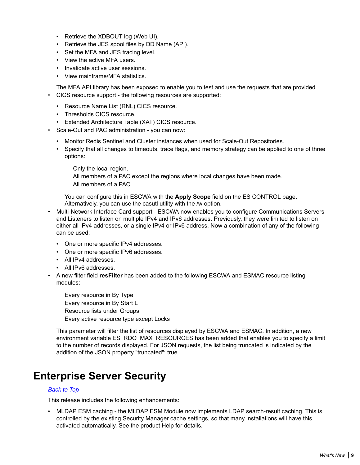- <span id="page-8-0"></span>• Retrieve the XDBOUT log (Web UI).
- Retrieve the JES spool files by DD Name (API).
- Set the MFA and JES tracing level.
- View the active MFA users.
- Invalidate active user sessions.
- View mainframe/MFA statistics.

The MFA API library has been exposed to enable you to test and use the requests that are provided. • CICS resource support - the following resources are supported:

- Resource Name List (RNL) CICS resource.
- Thresholds CICS resource.
- Extended Architecture Table (XAT) CICS resource.
- Scale-Out and PAC administration you can now:
	- Monitor Redis Sentinel and Cluster instances when used for Scale-Out Repositories.
	- Specify that all changes to timeouts, trace flags, and memory strategy can be applied to one of three options:

Only the local region.

All members of a PAC except the regions where local changes have been made. All members of a PAC.

You can configure this in ESCWA with the **Apply Scope** field on the ES CONTROL page. Alternatively, you can use the casutl utility with the /w option.

- Multi-Network Interface Card support ESCWA now enables you to configure Communications Servers and Listeners to listen on multiple IPv4 and IPv6 addresses. Previously, they were limited to listen on either all IPv4 addresses, or a single IPv4 or IPv6 address. Now a combination of any of the following can be used:
	- One or more specific IPv4 addresses.
	- One or more specific IPv6 addresses.
	- All IPv4 addresses.
	- All IPv6 addresses.
- A new filter field **resFilter** has been added to the following ESCWA and ESMAC resource listing modules:

Every resource in By Type Every resource in By Start L Resource lists under Groups Every active resource type except Locks

This parameter will filter the list of resources displayed by ESCWA and ESMAC. In addition, a new environment variable ES\_RDO\_MAX\_RESOURCES has been added that enables you to specify a limit to the number of records displayed. For JSON requests, the list being truncated is indicated by the addition of the JSON property "truncated": true.

# **Enterprise Server Security**

#### *[Back to Top](#page-4-0)*

This release includes the following enhancements:

• MLDAP ESM caching - the MLDAP ESM Module now implements LDAP search-result caching. This is controlled by the existing Security Manager cache settings, so that many installations will have this activated automatically. See the product Help for details.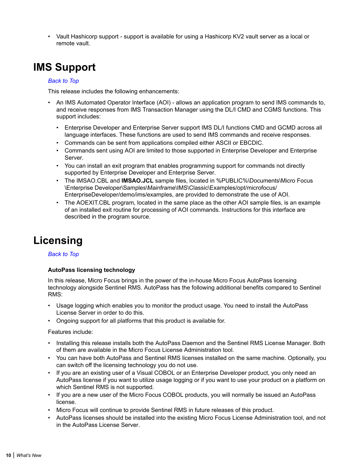<span id="page-9-0"></span>• Vault Hashicorp support - support is available for using a Hashicorp KV2 vault server as a local or remote vault.

# **IMS Support**

### *[Back to Top](#page-4-0)*

This release includes the following enhancements:

- An IMS Automated Operator Interface (AOI) allows an application program to send IMS commands to, and receive responses from IMS Transaction Manager using the DL/I CMD and CGMS functions. This support includes:
	- Enterprise Developer and Enterprise Server support IMS DL/I functions CMD and GCMD across all language interfaces. These functions are used to send IMS commands and receive responses.
	- Commands can be sent from applications compiled either ASCII or EBCDIC.
	- Commands sent using AOI are limited to those supported in Enterprise Developer and Enterprise Server.
	- You can install an exit program that enables programming support for commands not directly supported by Enterprise Developer and Enterprise Server.
	- The IMSAO.CBL and **IMSAO.JCL** sample files, located in %PUBLIC%\Documents\Micro Focus \Enterprise Developer\Samples\Mainframe\IMS\Classic\Examples/opt/microfocus/ EnterpriseDeveloper/demo/ims/examples, are provided to demonstrate the use of AOI.
	- The AOEXIT.CBL program, located in the same place as the other AOI sample files, is an example of an installed exit routine for processing of AOI commands. Instructions for this interface are described in the program source.

# **Licensing**

#### *[Back to Top](#page-4-0)*

# **AutoPass licensing technology**

In this release, Micro Focus brings in the power of the in-house Micro Focus AutoPass licensing technology alongside Sentinel RMS. AutoPass has the following additional benefits compared to Sentinel RMS:

- Usage logging which enables you to monitor the product usage. You need to install the AutoPass License Server in order to do this.
- Ongoing support for all platforms that this product is available for.

#### Features include:

- Installing this release installs both the AutoPass Daemon and the Sentinel RMS License Manager. Both of them are available in the Micro Focus License Administration tool.
- You can have both AutoPass and Sentinel RMS licenses installed on the same machine. Optionally, you can switch off the licensing technology you do not use.
- If you are an existing user of a Visual COBOL or an Enterprise Developer product, you only need an AutoPass license if you want to utilize usage logging or if you want to use your product on a platform on which Sentinel RMS is not supported.
- If you are a new user of the Micro Focus COBOL products, you will normally be issued an AutoPass license.
- Micro Focus will continue to provide Sentinel RMS in future releases of this product.
- AutoPass licenses should be installed into the existing Micro Focus License Administration tool, and not in the AutoPass License Server.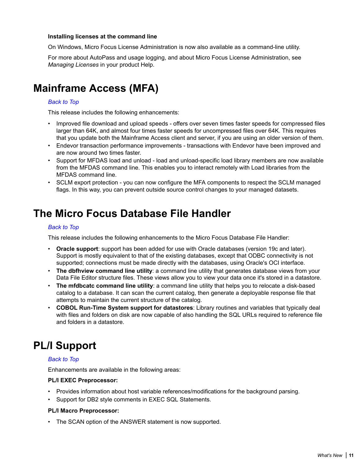#### <span id="page-10-0"></span>**Installing licenses at the command line**

On Windows, Micro Focus License Administration is now also available as a command-line utility.

For more about AutoPass and usage logging, and about Micro Focus License Administration, see *Managing Licenses* in your product Help.

# **Mainframe Access (MFA)**

### *[Back to Top](#page-4-0)*

This release includes the following enhancements:

- Improved file download and upload speeds offers over seven times faster speeds for compressed files larger than 64K, and almost four times faster speeds for uncompressed files over 64K. This requires that you update both the Mainframe Access client and server, if you are using an older version of them.
- Endevor transaction performance improvements transactions with Endevor have been improved and are now around two times faster.
- Support for MFDAS load and unload load and unload-specific load library members are now available from the MFDAS command line. This enables you to interact remotely with Load libraries from the MFDAS command line.
- SCLM export protection you can now configure the MFA components to respect the SCLM managed flags. In this way, you can prevent outside source control changes to your managed datasets.

# **The Micro Focus Database File Handler**

#### *[Back to Top](#page-4-0)*

This release includes the following enhancements to the Micro Focus Database File Handler:

- **Oracle support**: support has been added for use with Oracle databases (version 19c and later). Support is mostly equivalent to that of the existing databases, except that ODBC connectivity is not supported; connections must be made directly with the databases, using Oracle's OCI interface.
- **The dbfhview command line utility**: a command line utility that generates database views from your Data File Editor structure files. These views allow you to view your data once it's stored in a datastore.
- **The mfdbcatc command line utility**: a command line utility that helps you to relocate a disk-based catalog to a database. It can scan the current catalog, then generate a deployable response file that attempts to maintain the current structure of the catalog.
- **COBOL Run-Time System support for datastores**: Library routines and variables that typically deal with files and folders on disk are now capable of also handling the SQL URLs required to reference file and folders in a datastore.

# **PL/I Support**

#### *[Back to Top](#page-4-0)*

Enhancements are available in the following areas:

#### **PL/I EXEC Preprocessor:**

- Provides information about host variable references/modifications for the background parsing.
- Support for DB2 style comments in EXEC SQL Statements.

#### **PL/I Macro Preprocessor:**

• The SCAN option of the ANSWER statement is now supported.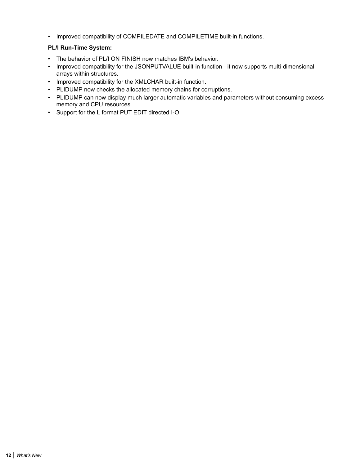• Improved compatibility of COMPILEDATE and COMPILETIME built-in functions.

# **PL/I Run-Time System:**

- The behavior of PL/I ON FINISH now matches IBM's behavior.
- Improved compatibility for the JSONPUTVALUE built-in function it now supports multi-dimensional arrays within structures.
- Improved compatibility for the XMLCHAR built-in function.
- PLIDUMP now checks the allocated memory chains for corruptions.
- PLIDUMP can now display much larger automatic variables and parameters without consuming excess memory and CPU resources.
- Support for the L format PUT EDIT directed I-O.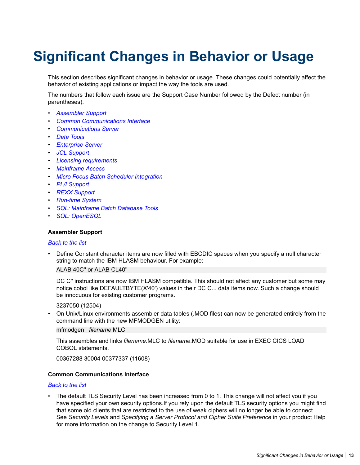# <span id="page-12-0"></span>**Significant Changes in Behavior or Usage**

This section describes significant changes in behavior or usage. These changes could potentially affect the behavior of existing applications or impact the way the tools are used.

The numbers that follow each issue are the Support Case Number followed by the Defect number (in parentheses).

- *Assembler Support*
- *Common Communications Interface*
- *[Communications Server](#page-13-0)*
- *[Data Tools](#page-13-0)*
- *[Enterprise Server](#page-13-0)*
- *[JCL Support](#page-15-0)*
- *[Licensing requirements](#page-17-0)*
- *[Mainframe Access](#page-17-0)*
- *[Micro Focus Batch Scheduler Integration](#page-17-0)*
- *[PL/I Support](#page-17-0)*
- *[REXX Support](#page-18-0)*
- *[Run-time System](#page-18-0)*
- *[SQL: Mainframe Batch Database Tools](#page-18-0)*
- *[SQL: OpenESQL](#page-19-0)*

#### **Assembler Support**

#### *Back to the list*

• Define Constant character items are now filled with EBCDIC spaces when you specify a null character string to match the IBM HLASM behaviour. For example:

ALAB 40C'' or ALAB CL40''

DC C'' instructions are now IBM HLASM compatible. This should not affect any customer but some may notice cobol like DEFAULTBYTE(X'40') values in their DC C... data items now. Such a change should be innocuous for existing customer programs.

#### 3237050 (12504)

• On Unix/Linux environments assembler data tables (.MOD files) can now be generated entirely from the command line with the new MFMODGEN utility:

mfmodgen *filename*.MLC

This assembles and links *filename*.MLC to *filename*.MOD suitable for use in EXEC CICS LOAD COBOL statements.

00367288 30004 00377337 (11608)

# **Common Communications Interface**

#### *Back to the list*

The default TLS Security Level has been increased from 0 to 1. This change will not affect you if you have specified your own security options.If you rely upon the default TLS security options you might find that some old clients that are restricted to the use of weak ciphers will no longer be able to connect. See *Security Levels* and *Specifying a Server Protocol and Cipher Suite Preference* in your product Help for more information on the change to Security Level 1.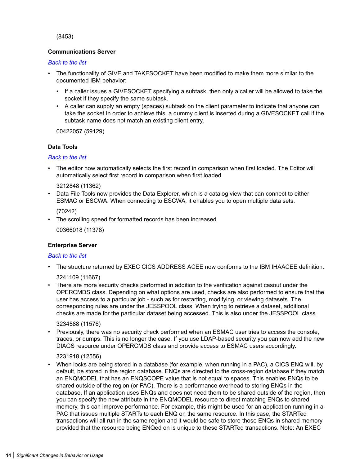<span id="page-13-0"></span>(8453)

# **Communications Server**

#### *[Back to the list](#page-12-0)*

- The functionality of GIVE and TAKESOCKET have been modified to make them more similar to the documented IBM behavior:
	- If a caller issues a GIVESOCKET specifying a subtask, then only a caller will be allowed to take the socket if they specify the same subtask.
	- A caller can supply an empty (spaces) subtask on the client parameter to indicate that anyone can take the socket.In order to achieve this, a dummy client is inserted during a GIVESOCKET call if the subtask name does not match an existing client entry.

00422057 (59129)

#### **Data Tools**

#### *[Back to the list](#page-12-0)*

• The editor now automatically selects the first record in comparison when first loaded. The Editor will automatically select first record in comparison when first loaded

#### 3212848 (11362)

• Data File Tools now provides the Data Explorer, which is a catalog view that can connect to either ESMAC or ESCWA. When connecting to ESCWA, it enables you to open multiple data sets.

(70242)

• The scrolling speed for formatted records has been increased.

00366018 (11378)

# **Enterprise Server**

#### *[Back to the list](#page-12-0)*

• The structure returned by EXEC CICS ADDRESS ACEE now conforms to the IBM IHAACEE definition.

3241109 (11667)

• There are more security checks performed in addition to the verification against casout under the OPERCMDS class. Depending on what options are used, checks are also performed to ensure that the user has access to a particular job - such as for restarting, modifying, or viewing datasets. The corresponding rules are under the JESSPOOL class. When trying to retrieve a dataset, additional checks are made for the particular dataset being accessed. This is also under the JESSPOOL class.

3234588 (11576)

• Previously, there was no security check performed when an ESMAC user tries to access the console, traces, or dumps. This is no longer the case. If you use LDAP-based security you can now add the new DIAGS resource under OPERCMDS class and provide access to ESMAC users accordingly.

#### 3231918 (12556)

• When locks are being stored in a database (for example, when running in a PAC), a CICS ENQ will, by default, be stored in the region database. ENQs are directed to the cross-region database if they match an ENQMODEL that has an ENQSCOPE value that is not equal to spaces. This enables ENQs to be shared outside of the region (or PAC). There is a performance overhead to storing ENQs in the database. If an application uses ENQs and does not need them to be shared outside of the region, then you can specify the new attribute in the ENQMODEL resource to direct matching ENQs to shared memory, this can improve performance. For example, this might be used for an application running in a PAC that issues multiple STARTs to each ENQ on the same resource. In this case, the STARTed transactions will all run in the same region and it would be safe to store those ENQs in shared memory provided that the resource being ENQed on is unique to these STARTed transactions. Note: An EXEC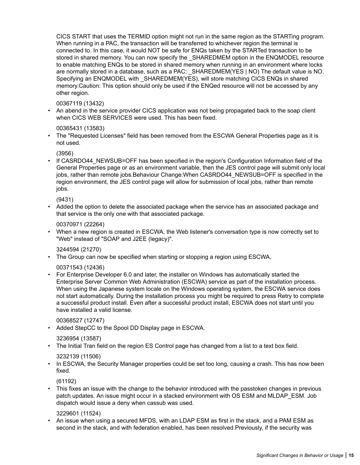CICS START that uses the TERMID option might not run in the same region as the STARTing program. When running in a PAC, the transaction will be transferred to whichever region the terminal is connected to. In this case, it would NOT be safe for ENQs taken by the STARTed transaction to be stored in shared memory. You can now specify the SHAREDMEM option in the ENQMODEL resource to enable matching ENQs to be stored in shared memory when running in an environment where locks are normally stored in a database, such as a PAC: SHAREDMEM(YES | NO) The default value is NO. Specifying an ENQMODEL with \_SHAREDMEM(YES), will store matching CICS ENQs in shared memory.Caution: This option should only be used if the ENQed resource will not be accessed by any other region.

# 00367119 (13432)

• An abend in the service provider CICS application was not being propagated back to the soap client when CICS WEB SERVICES were used. This has been fixed.

# 00365431 (13583)

• The "Requested Licenses" field has been removed from the ESCWA General Properties page as it is not used.

(3956)

If CASRDO44\_NEWSUB=OFF has been specified in the region's Configuration Information field of the General Properties page or as an environment variable, then the JES control page will submit only local jobs, rather than remote jobs.Behaviour Change:When CASRDO44\_NEWSUB=OFF is specified in the region environment, the JES control page will allow for submission of local jobs, rather than remote jobs.

(9431)

• Added the option to delete the associated package when the service has an associated package and that service is the only one with that associated package.

#### 00370971 (22264)

• When a new region is created in ESCWA, the Web listener's conversation type is now correctly set to "Web" instead of "SOAP and J2EE (legacy)".

# 3244594 (21270)

• The Group can now be specified when starting or stopping a region using ESCWA.

# 00371543 (12436)

• For Enterprise Developer 6.0 and later, the installer on Windows has automatically started the Enterprise Server Common Web Administration (ESCWA) service as part of the installation process. When using the Japanese system locale on the Windows operating system, the ESCWA service does not start automatically. During the installation process you might be required to press Retry to complete a successful product install. Even after a successful product install, ESCWA does not start until you have installed a valid license.

# 00368527 (12747)

• Added StepCC to the Spool DD Display page in ESCWA.

# 3236954 (13587)

• The Initial Tran field on the region ES Control page has changed from a list to a text box field.

# 3232139 (11506)

• In ESCWA, the Security Manager properties could be set too long, causing a crash. This has now been fixed.

(61192)

• This fixes an issue with the change to the behavior introduced with the passtoken changes in previous patch updates. An issue might occur in a stacked environment with OS ESM and MLDAP\_ESM. Job dispatch would issue a deny when cassub was used.

#### 3229601 (11524)

• An issue when using a secured MFDS, with an LDAP ESM as first in the stack, and a PAM ESM as second in the stack, and with federation enabled, has been resolved.Previously, if the security was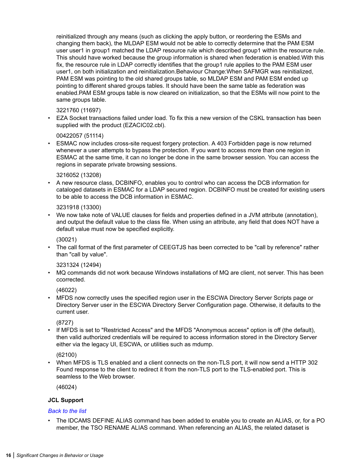<span id="page-15-0"></span>reinitialized through any means (such as clicking the apply button, or reordering the ESMs and changing them back), the MLDAP ESM would not be able to correctly determine that the PAM ESM user user1 in group1 matched the LDAP resource rule which described group1 within the resource rule. This should have worked because the group information is shared when federation is enabled.With this fix, the resource rule in LDAP correctly identifies that the group1 rule applies to the PAM ESM user user1, on both initialization and reinitialization.Behaviour Change:When SAFMGR was reinitialized, PAM ESM was pointing to the old shared groups table, so MLDAP ESM and PAM ESM ended up pointing to different shared groups tables. It should have been the same table as federation was enabled.PAM ESM groups table is now cleared on initialization, so that the ESMs will now point to the same groups table.

#### 3221760 (11697)

• EZA Socket transactions failed under load. To fix this a new version of the CSKL transaction has been supplied with the product (EZACIC02.cbl).

#### 00422057 (51114)

• ESMAC now includes cross-site request forgery protection. A 403 Forbidden page is now returned whenever a user attempts to bypass the protection. If you want to access more than one region in ESMAC at the same time, it can no longer be done in the same browser session. You can access the regions in separate private browsing sessions.

#### 3216052 (13208)

• A new resource class, DCBINFO, enables you to control who can access the DCB information for cataloged datasets in ESMAC for a LDAP secured region. DCBINFO must be created for existing users to be able to access the DCB information in ESMAC.

#### 3231918 (13300)

• We now take note of VALUE clauses for fields and properties defined in a JVM attribute (annotation), and output the default value to the class file. When using an attribute, any field that does NOT have a default value must now be specified explicitly.

#### (30021)

• The call format of the first parameter of CEEGTJS has been corrected to be "call by reference" rather than "call by value".

# 3231324 (12494)

• MQ commands did not work because Windows installations of MQ are client, not server. This has been ccorrected.

# (46022)

• MFDS now correctly uses the specified region user in the ESCWA Directory Server Scripts page or Directory Server user in the ESCWA Directory Server Configuration page. Otherwise, it defaults to the current user.

# (8727)

• If MFDS is set to "Restricted Access" and the MFDS "Anonymous access" option is off (the default), then valid authorized credentials will be required to access information stored in the Directory Server either via the legacy UI, ESCWA, or utilities such as mdump.

# (62100)

• When MFDS is TLS enabled and a client connects on the non-TLS port, it will now send a HTTP 302 Found response to the client to redirect it from the non-TLS port to the TLS-enabled port. This is seamless to the Web browser.

(46024)

# **JCL Support**

#### *[Back to the list](#page-12-0)*

• The IDCAMS DEFINE ALIAS command has been added to enable you to create an ALIAS, or, for a PO member, the TSO RENAME ALIAS command. When referencing an ALIAS, the related dataset is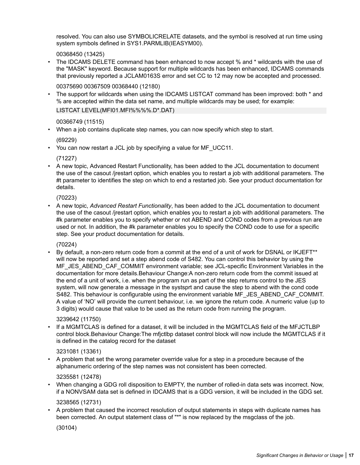resolved. You can also use SYMBOLICRELATE datasets, and the symbol is resolved at run time using system symbols defined in SYS1.PARMLIB(IEASYM00).

# 00368450 (13425)

The IDCAMS DELETE command has been enhanced to now accept % and  $*$  wildcards with the use of the "MASK" keyword. Because support for multiple wildcards has been enhanced, IDCAMS commands that previously reported a JCLAM0163S error and set CC to 12 may now be accepted and processed.

00375690 00367509 00368440 (12180)

• The support for wildcards when using the IDCAMS LISTCAT command has been improved: both \* and % are accepted within the data set name, and multiple wildcards may be used; for example: LISTCAT LEVEL(MFI01.MFI%%%%.D\*.DAT)

# 00366749 (11515)

• When a job contains duplicate step names, you can now specify which step to start.

(69229)

• You can now restart a JCL job by specifying a value for MF\_UCC11.

(71227)

• A new topic, Advanced Restart Functionality, has been added to the JCL documentation to document the use of the casout /jrestart option, which enables you to restart a job with additional parameters. The #t parameter to identifies the step on which to end a restarted job. See your product documentation for details.

(70223)

• A new topic, *Advanced Restart Functionality*, has been added to the JCL documentation to document the use of the casout /jrestart option, which enables you to restart a job with additional parameters. The #k parameter enables you to specify whether or not ABEND and COND codes from a previous run are used or not. In addition, the #k parameter enables you to specify the COND code to use for a specific step. See your product documentation for details.

(70224)

• By default, a non-zero return code from a commit at the end of a unit of work for DSNAL or IKJEFT\*\* will now be reported and set a step abend code of S482. You can control this behavior by using the MF\_JES\_ABEND\_CAF\_COMMIT environment variable; see JCL-specific Environment Variables in the documentation for more details.Behaviour Change:A non-zero return code from the commit issued at the end of a unit of work, i.e. when the program run as part of the step returns control to the JES system, will now generate a message in the systsprt and cause the step to abend with the cond code S482. This behaviour is configurable using the environment variable MF\_JES\_ABEND\_CAF\_COMMIT. A value of 'NO' will provide the current behaviour, i.e. we ignore the return code. A numeric value (up to 3 digits) would cause that value to be used as the return code from running the program.

#### 3239642 (11750)

• If a MGMTCLAS is defined for a dataset, it will be included in the MGMTCLAS field of the MFJCTLBP control block.Behaviour Change:The mfjctlbp dataset control block will now include the MGMTCLAS if it is defined in the catalog record for the dataset

# 3231081 (13361)

• A problem that set the wrong parameter override value for a step in a procedure because of the alphanumeric ordering of the step names was not consistent has been corrected.

#### 3235581 (12478)

• When changing a GDG roll disposition to EMPTY, the number of rolled-in data sets was incorrect. Now, if a NONVSAM data set is defined in IDCAMS that is a GDG version, it will be included in the GDG set.

# 3238565 (12731)

• A problem that caused the incorrect resolution of output statements in steps with duplicate names has been corrected. An output statement class of "\*" is now replaced by the msgclass of the job.

(30104)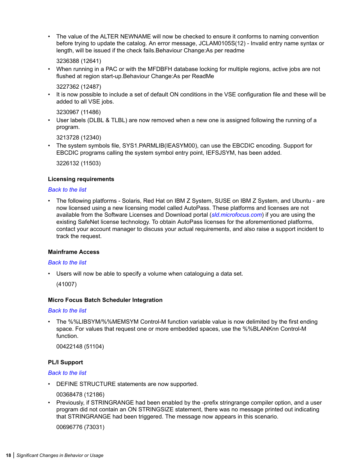<span id="page-17-0"></span>• The value of the ALTER NEWNAME will now be checked to ensure it conforms to naming convention before trying to update the catalog. An error message, JCLAM0105S(12) - Invalid entry name syntax or length, will be issued if the check fails.Behaviour Change:As per readme

3236388 (12641)

• When running in a PAC or with the MFDBFH database locking for multiple regions, active jobs are not flushed at region start-up.Behaviour Change:As per ReadMe

3227362 (12487)

• It is now possible to include a set of default ON conditions in the VSE configuration file and these will be added to all VSE jobs.

3230967 (11486)

• User labels (DLBL & TLBL) are now removed when a new one is assigned following the running of a program.

3213728 (12340)

• The system symbols file, SYS1.PARMLIB(IEASYM00), can use the EBCDIC encoding. Support for EBCDIC programs calling the system symbol entry point, IEFSJSYM, has been added.

3226132 (11503)

#### **Licensing requirements**

#### *[Back to the list](#page-12-0)*

• The following platforms - Solaris, Red Hat on IBM Z System, SUSE on IBM Z System, and Ubuntu - are now licensed using a new licensing model called AutoPass. These platforms and licenses are not available from the Software Licenses and Download portal (*[sld.microfocus.com](https://sld.microfocus.com/)*) if you are using the existing SafeNet license technology. To obtain AutoPass licenses for the aforementioned platforms, contact your account manager to discuss your actual requirements, and also raise a support incident to track the request.

#### **Mainframe Access**

#### *[Back to the list](#page-12-0)*

• Users will now be able to specify a volume when cataloguing a data set.

(41007)

#### **Micro Focus Batch Scheduler Integration**

#### *[Back to the list](#page-12-0)*

• The %%LIBSYM/%%MEMSYM Control-M function variable value is now delimited by the first ending space. For values that request one or more embedded spaces, use the %%BLANKnn Control-M function.

00422148 (51104)

#### **PL/I Support**

# *[Back to the list](#page-12-0)*

• DEFINE STRUCTURE statements are now supported.

00368478 (12186)

• Previously, if STRINGRANGE had been enabled by the -prefix stringrange compiler option, and a user program did not contain an ON STRINGSIZE statement, there was no message printed out indicating that STRINGRANGE had been triggered. The message now appears in this scenario.

00696776 (73031)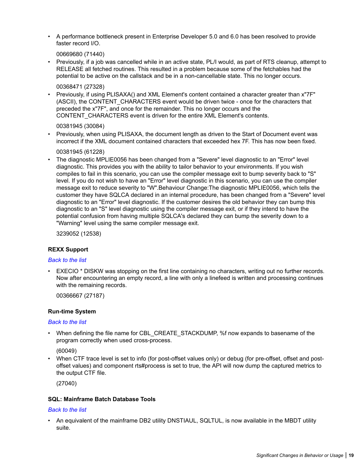<span id="page-18-0"></span>• A performance bottleneck present in Enterprise Developer 5.0 and 6.0 has been resolved to provide faster record I/O.

00669680 (71440)

• Previously, if a job was cancelled while in an active state, PL/I would, as part of RTS cleanup, attempt to RELEASE all fetched routines. This resulted in a problem because some of the fetchables had the potential to be active on the callstack and be in a non-cancellable state. This no longer occurs.

00368471 (27328)

• Previously, if using PLISAXA() and XML Element's content contained a character greater than x"7F" (ASCII), the CONTENT CHARACTERS event would be driven twice - once for the characters that preceded the x"7F", and once for the remainder. This no longer occurs and the CONTENT\_CHARACTERS event is driven for the entire XML Element's contents.

00381945 (30084)

• Previously, when using PLISAXA, the document length as driven to the Start of Document event was incorrect if the XML document contained characters that exceeded hex 7F. This has now been fixed.

00381945 (61228)

• The diagnostic MPLIE0056 has been changed from a "Severe" level diagnostic to an "Error" level diagnostic. This provides you with the ability to tailor behavior to your environments. If you wish compiles to fail in this scenario, you can use the compiler message exit to bump severity back to "S" level. If you do not wish to have an "Error" level diagnostic in this scenario, you can use the compiler message exit to reduce severity to "W".Behaviour Change:The diagnostic MPLIE0056, which tells the customer they have SQLCA declared in an internal procedure, has been changed from a "Severe" level diagnostic to an "Error" level diagnostic. If the customer desires the old behavior they can bump this diagnostic to an "S" level diagnostic using the compiler message exit, or if they intend to have the potential confusion from having multiple SQLCA's declared they can bump the severity down to a "Warning" level using the same compiler message exit.

3239052 (12538)

# **REXX Support**

#### *[Back to the list](#page-12-0)*

• EXECIO \* DISKW was stopping on the first line containing no characters, writing out no further records. Now after encountering an empty record, a line with only a linefeed is written and processing continues with the remaining records.

00366667 (27187)

#### **Run-time System**

#### *[Back to the list](#page-12-0)*

• When defining the file name for CBL\_CREATE\_STACKDUMP, %f now expands to basename of the program correctly when used cross-process.

(60049)

• When CTF trace level is set to info (for post-offset values only) or debug (for pre-offset, offset and postoffset values) and component rts#process is set to true, the API will now dump the captured metrics to the output CTF file.

(27040)

# **SQL: Mainframe Batch Database Tools**

#### *[Back to the list](#page-12-0)*

• An equivalent of the mainframe DB2 utility DNSTIAUL, SQLTUL, is now available in the MBDT utility suite.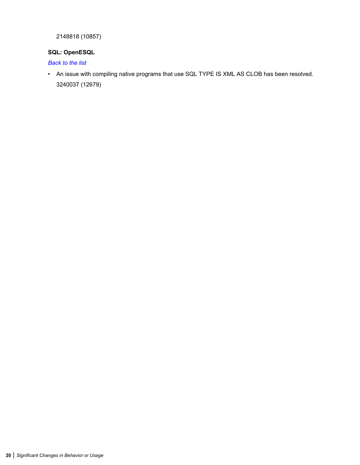<span id="page-19-0"></span>2148818 (10857)

# **SQL: OpenESQL**

*[Back to the list](#page-12-0)*

• An issue with compiling native programs that use SQL TYPE IS XML AS CLOB has been resolved. 3240037 (12679)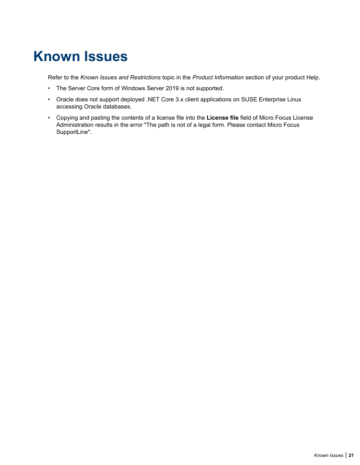# <span id="page-20-0"></span>**Known Issues**

Refer to the *Known Issues and Restrictions* topic in the *Product Information* section of your product Help.

- The Server Core form of Windows Server 2019 is not supported.
- Oracle does not support deployed .NET Core 3.x client applications on SUSE Enterprise Linux accessing Oracle databases.
- Copying and pasting the contents of a license file into the **License file** field of Micro Focus License Administration results in the error "The path is not of a legal form. Please contact Micro Focus SupportLine".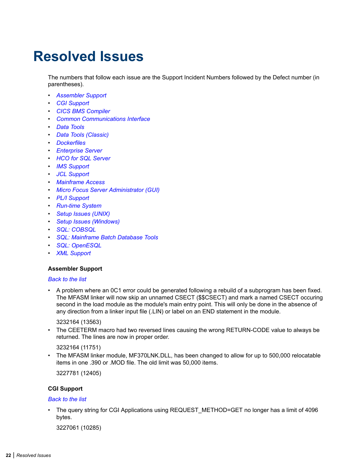# <span id="page-21-0"></span>**Resolved Issues**

The numbers that follow each issue are the Support Incident Numbers followed by the Defect number (in parentheses).

- *Assembler Support*
- *CGI Support*
- *[CICS BMS Compiler](#page-22-0)*
- *[Common Communications Interface](#page-22-0)*
- *[Data Tools](#page-22-0)*
- *[Data Tools \(Classic\)](#page-23-0)*
- *[Dockerfiles](#page-23-0)*
- *[Enterprise Server](#page-23-0)*
- *[HCO for SQL Server](#page-38-0)*
- *[IMS Support](#page-38-0)*
- *[JCL Support](#page-41-0)*
- *[Mainframe Access](#page-44-0)*
- *[Micro Focus Server Administrator \(GUI\)](#page-45-0)*
- *PL/I Support*
- *[Run-time System](#page-46-0)*
- *[Setup Issues \(UNIX\)](#page-47-0)*
- *[Setup Issues \(Windows\)](#page-47-0)*
- *[SQL: COBSQL](#page-48-0)*
- *[SQL: Mainframe Batch Database Tools](#page-49-0)*
- *[SQL: OpenESQL](#page-50-0)*
- *[XML Support](#page-51-0)*

#### **Assembler Support**

#### *Back to the list*

• A problem where an 0C1 error could be generated following a rebuild of a subprogram has been fixed. The MFASM linker will now skip an unnamed CSECT (\$\$CSECT) and mark a named CSECT occuring second in the load module as the module's main entry point. This will only be done in the absence of any direction from a linker input file (.LIN) or label on an END statement in the module.

3232164 (13563)

• The CEETERM macro had two reversed lines causing the wrong RETURN-CODE value to always be returned. The lines are now in proper order.

#### 3232164 (11751)

• The MFASM linker module, MF370LNK.DLL, has been changed to allow for up to 500,000 relocatable items in one .390 or .MOD file. The old limit was 50,000 items.

3227781 (12405)

#### **CGI Support**

#### *Back to the list*

The query string for CGI Applications using REQUEST\_METHOD=GET no longer has a limit of 4096 bytes.

3227061 (10285)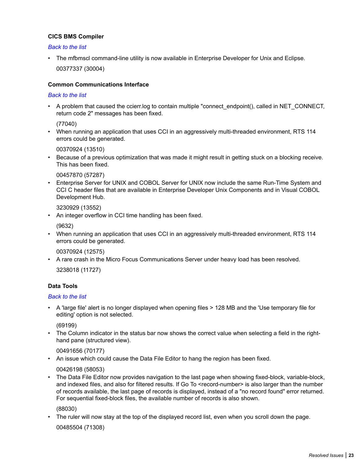### <span id="page-22-0"></span>**CICS BMS Compiler**

#### *[Back to the list](#page-21-0)*

• The mfbmscl command-line utility is now available in Enterprise Developer for Unix and Eclipse. 00377337 (30004)

#### **Common Communications Interface**

#### *[Back to the list](#page-21-0)*

• A problem that caused the ccierr.log to contain multiple "connect\_endpoint(), called in NET\_CONNECT, return code 2" messages has been fixed.

(77040)

• When running an application that uses CCI in an aggressively multi-threaded environment, RTS 114 errors could be generated.

00370924 (13510)

• Because of a previous optimization that was made it might result in getting stuck on a blocking receive. This has been fixed.

00457870 (57287)

• Enterprise Server for UNIX and COBOL Server for UNIX now include the same Run-Time System and CCI C header files that are available in Enterprise Developer Unix Components and in Visual COBOL Development Hub.

3230929 (13552)

• An integer overflow in CCI time handling has been fixed.

(9632)

• When running an application that uses CCI in an aggressively multi-threaded environment, RTS 114 errors could be generated.

00370924 (12575)

• A rare crash in the Micro Focus Communications Server under heavy load has been resolved.

3238018 (11727)

# **Data Tools**

#### *[Back to the list](#page-21-0)*

• A 'large file' alert is no longer displayed when opening files > 128 MB and the 'Use temporary file for editing' option is not selected.

(69199)

• The Column indicator in the status bar now shows the correct value when selecting a field in the righthand pane (structured view).

00491656 (70177)

• An issue which could cause the Data File Editor to hang the region has been fixed.

00426198 (58053)

• The Data File Editor now provides navigation to the last page when showing fixed-block, variable-block, and indexed files, and also for filtered results. If Go To <record-number> is also larger than the number of records available, the last page of records is displayed, instead of a "no record found" error returned. For sequential fixed-block files, the available number of records is also shown.

(88030)

• The ruler will now stay at the top of the displayed record list, even when you scroll down the page.

00485504 (71308)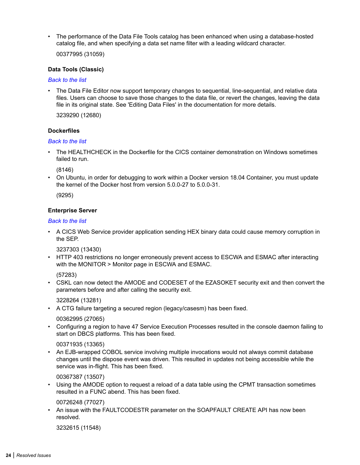<span id="page-23-0"></span>• The performance of the Data File Tools catalog has been enhanced when using a database-hosted catalog file, and when specifying a data set name filter with a leading wildcard character.

00377995 (31059)

#### **Data Tools (Classic)**

#### *[Back to the list](#page-21-0)*

• The Data File Editor now support temporary changes to sequential, line-sequential, and relative data files. Users can choose to save those changes to the data file, or revert the changes, leaving the data file in its original state. See 'Editing Data Files' in the documentation for more details.

3239290 (12680)

#### **Dockerfiles**

#### *[Back to the list](#page-21-0)*

• The HEALTHCHECK in the Dockerfile for the CICS container demonstration on Windows sometimes failed to run.

(8146)

• On Ubuntu, in order for debugging to work within a Docker version 18.04 Container, you must update the kernel of the Docker host from version 5.0.0-27 to 5.0.0-31.

(9295)

#### **Enterprise Server**

#### *[Back to the list](#page-21-0)*

• A CICS Web Service provider application sending HEX binary data could cause memory corruption in the SEP.

3237303 (13430)

• HTTP 403 restrictions no longer erroneously prevent access to ESCWA and ESMAC after interacting with the MONITOR > Monitor page in ESCWA and ESMAC.

(57283)

• CSKL can now detect the AMODE and CODESET of the EZASOKET security exit and then convert the parameters before and after calling the security exit.

3228264 (13281)

• A CTG failure targeting a secured region (legacy/casesm) has been fixed.

00362995 (27065)

• Configuring a region to have 47 Service Execution Processes resulted in the console daemon failing to start on DBCS platforms. This has been fixed.

00371935 (13365)

• An EJB-wrapped COBOL service involving multiple invocations would not always commit database changes until the dispose event was driven. This resulted in updates not being accessible while the service was in-flight. This has been fixed.

00367387 (13507)

• Using the AMODE option to request a reload of a data table using the CPMT transaction sometimes resulted in a FUNC abend. This has been fixed.

00726248 (77027)

• An issue with the FAULTCODESTR parameter on the SOAPFAULT CREATE API has now been resolved.

3232615 (11548)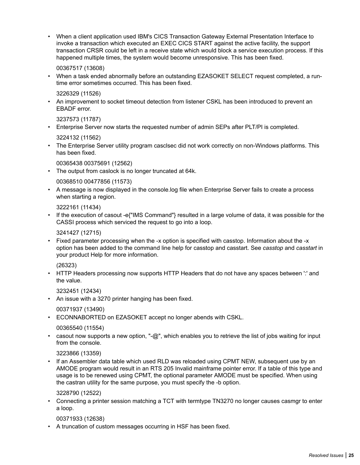• When a client application used IBM's CICS Transaction Gateway External Presentation Interface to invoke a transaction which executed an EXEC CICS START against the active facility, the support transaction CRSR could be left in a receive state which would block a service execution process. If this happened multiple times, the system would become unresponsive. This has been fixed.

00367517 (13608)

• When a task ended abnormally before an outstanding EZASOKET SELECT request completed, a runtime error sometimes occurred. This has been fixed.

3226329 (11526)

• An improvement to socket timeout detection from listener CSKL has been introduced to prevent an EBADF error.

3237573 (11787)

• Enterprise Server now starts the requested number of admin SEPs after PLT/PI is completed.

3224132 (11562)

• The Enterprise Server utility program casclsec did not work correctly on non-Windows platforms. This has been fixed.

00365438 00375691 (12562)

• The output from caslock is no longer truncated at 64k.

00368510 00477856 (11573)

• A message is now displayed in the console.log file when Enterprise Server fails to create a process when starting a region.

3222161 (11434)

• If the execution of casout -e{"IMS Command"} resulted in a large volume of data, it was possible for the CASSI process which serviced the request to go into a loop.

3241427 (12715)

• Fixed parameter processing when the -x option is specified with casstop. Information about the -x option has been added to the command line help for casstop and casstart. See *casstop* and *casstart* in your product Help for more information.

(26323)

• HTTP Headers processing now supports HTTP Headers that do not have any spaces between " and the value.

3232451 (12434)

• An issue with a 3270 printer hanging has been fixed.

00371937 (13490)

• ECONNABORTED on EZASOKET accept no longer abends with CSKL.

00365540 (11554)

casout now supports a new option, "- $@$ ", which enables you to retrieve the list of jobs waiting for input from the console.

3223866 (13359)

• If an Assembler data table which used RLD was reloaded using CPMT NEW, subsequent use by an AMODE program would result in an RTS 205 Invalid mainframe pointer error. If a table of this type and usage is to be renewed using CPMT, the optional parameter AMODE must be specified. When using the castran utility for the same purpose, you must specify the -b option.

3228790 (12522)

• Connecting a printer session matching a TCT with termtype TN3270 no longer causes casmgr to enter a loop.

00371933 (12638)

• A truncation of custom messages occurring in HSF has been fixed.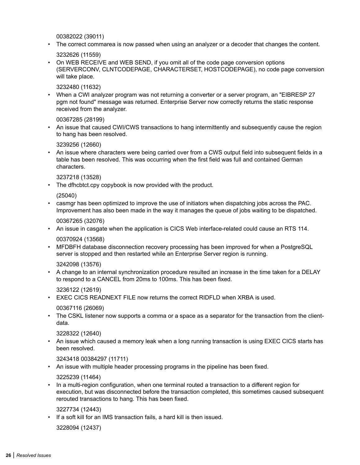00382022 (39011)

• The correct commarea is now passed when using an analyzer or a decoder that changes the content.

3232626 (11559)

• On WEB RECEIVE and WEB SEND, if you omit all of the code page conversion options (SERVERCONV, CLNTCODEPAGE, CHARACTERSET, HOSTCODEPAGE), no code page conversion will take place.

3232480 (11632)

• When a CWI analyzer program was not returning a converter or a server program, an "EIBRESP 27 pgm not found" message was returned. Enterprise Server now correctly returns the static response received from the analyzer.

00367285 (28199)

• An issue that caused CWI/CWS transactions to hang intermittently and subsequently cause the region to hang has been resolved.

3239256 (12660)

• An issue where characters were being carried over from a CWS output field into subsequent fields in a table has been resolved. This was occurring when the first field was full and contained German characters.

3237218 (13528)

• The dfhcbtct.cpy copybook is now provided with the product.

(25040)

• casmgr has been optimized to improve the use of initiators when dispatching jobs across the PAC. Improvement has also been made in the way it manages the queue of jobs waiting to be dispatched.

00367265 (32076)

• An issue in casgate when the application is CICS Web interface-related could cause an RTS 114.

00370924 (13568)

• MFDBFH database disconnection recovery processing has been improved for when a PostgreSQL server is stopped and then restarted while an Enterprise Server region is running.

3242098 (13576)

• A change to an internal synchronization procedure resulted an increase in the time taken for a DELAY to respond to a CANCEL from 20ms to 100ms. This has been fixed.

3236122 (12619)

• EXEC CICS READNEXT FILE now returns the correct RIDFLD when XRBA is used.

00367116 (26069)

• The CSKL listener now supports a comma or a space as a separator for the transaction from the clientdata.

3228322 (12640)

• An issue which caused a memory leak when a long running transaction is using EXEC CICS starts has been resolved.

3243418 00384297 (11711)

• An issue with multiple header processing programs in the pipeline has been fixed.

3225239 (11464)

• In a multi-region configuration, when one terminal routed a transaction to a different region for execution, but was disconnected before the transaction completed, this sometimes caused subsequent rerouted transactions to hang. This has been fixed.

3227734 (12443)

• If a soft kill for an IMS transaction fails, a hard kill is then issued.

3228094 (12437)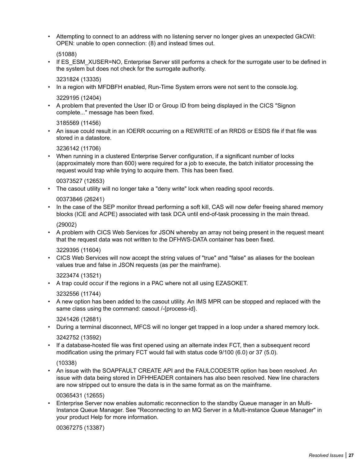• Attempting to connect to an address with no listening server no longer gives an unexpected GkCWI: OPEN: unable to open connection: (8) and instead times out.

(51088)

If ES\_ESM\_XUSER=NO, Enterprise Server still performs a check for the surrogate user to be defined in the system but does not check for the surrogate authority.

3231824 (13335)

- In a region with MFDBFH enabled, Run-Time System errors were not sent to the console.log. 3229195 (12404)
- A problem that prevented the User ID or Group ID from being displayed in the CICS "Signon complete..." message has been fixed.

3185569 (11456)

• An issue could result in an IOERR occurring on a REWRITE of an RRDS or ESDS file if that file was stored in a datastore.

3236142 (11706)

• When running in a clustered Enterprise Server configuration, if a significant number of locks (approximately more than 600) were required for a job to execute, the batch initiator processing the request would trap while trying to acquire them. This has been fixed.

00373527 (12653)

• The casout utility will no longer take a "deny write" lock when reading spool records.

00373846 (26241)

• In the case of the SEP monitor thread performing a soft kill, CAS will now defer freeing shared memory blocks (ICE and ACPE) associated with task DCA until end-of-task processing in the main thread.

(29002)

• A problem with CICS Web Services for JSON whereby an array not being present in the request meant that the request data was not written to the DFHWS-DATA container has been fixed.

3229395 (11604)

• CICS Web Services will now accept the string values of "true" and "false" as aliases for the boolean values true and false in JSON requests (as per the mainframe).

3223474 (13521)

• A trap could occur if the regions in a PAC where not all using EZASOKET.

3232556 (11744)

• A new option has been added to the casout utility. An IMS MPR can be stopped and replaced with the same class using the command: casout /-{process-id}.

3241426 (12681)

- During a terminal disconnect, MFCS will no longer get trapped in a loop under a shared memory lock. 3242752 (13592)
- If a database-hosted file was first opened using an alternate index FCT, then a subsequent record modification using the primary FCT would fail with status code 9/100 (6.0) or 37 (5.0).

(10338)

• An issue with the SOAPFAULT CREATE API and the FAULCODESTR option has been resolved. An issue with data being stored in DFHHEADER containers has also been resolved. New line characters are now stripped out to ensure the data is in the same format as on the mainframe.

00365431 (12655)

• Enterprise Server now enables automatic reconnection to the standby Queue manager in an Multi-Instance Queue Manager. See "Reconnecting to an MQ Server in a Multi-instance Queue Manager" in your product Help for more information.

00367275 (13387)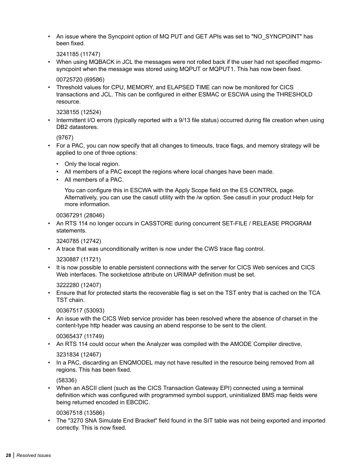• An issue where the Syncpoint option of MQ PUT and GET APIs was set to "NO\_SYNCPOINT" has been fixed.

3241185 (11747)

• When using MQBACK in JCL the messages were not rolled back if the user had not specified mqpmosyncpoint when the message was stored using MQPUT or MQPUT1. This has now been fixed.

00725720 (69586)

• Threshold values for CPU, MEMORY, and ELAPSED TIME can now be monitored for CICS transactions and JCL. This can be configured in either ESMAC or ESCWA using the THRESHOLD resource.

3238155 (12524)

• Intermittent I/O errors (typically reported with a 9/13 file status) occurred during file creation when using DB2 datastores.

(9767)

- For a PAC, you can now specify that all changes to timeouts, trace flags, and memory strategy will be applied to one of three options:
	- Only the local region.
	- All members of a PAC except the regions where local changes have been made.
	- All members of a PAC.

You can configure this in ESCWA with the Apply Scope field on the ES CONTROL page. Alternatively, you can use the casutl utility with the /w option. See casutl in your product Help for more information.

00367291 (28046)

• An RTS 114 no longer occurs in CASSTORE during concurrent SET-FILE / RELEASE PROGRAM statements.

3240785 (12742)

• A trace that was unconditionally written is now under the CWS trace flag control.

3230887 (11721)

• It is now possible to enable persistent connections with the server for CICS Web services and CICS Web interfaces. The socketclose attribute on URIMAP definition must be set.

3222280 (12407)

• Ensure that for protected starts the recoverable flag is set on the TST entry that is cached on the TCA TST chain.

00367517 (53093)

• An issue with the CICS Web service provider has been resolved where the absence of charset in the content-type http header was causing an abend response to be sent to the client.

00365437 (11749)

• An RTS 114 could occur when the Analyzer was compiled with the AMODE Compiler directive,

3231834 (12467)

• In a PAC, discarding an ENQMODEL may not have resulted in the resource being removed from all regions. This has been fixed.

(58336)

• When an ASCII client (such as the CICS Transaction Gateway EPI) connected using a terminal definition which was configured with programmed symbol support, uninitialized BMS map fields were being returned encoded in EBCDIC.

00367518 (13586)

• The "3270 SNA Simulate End Bracket" field found in the SIT table was not being exported and imported correctly. This is now fixed.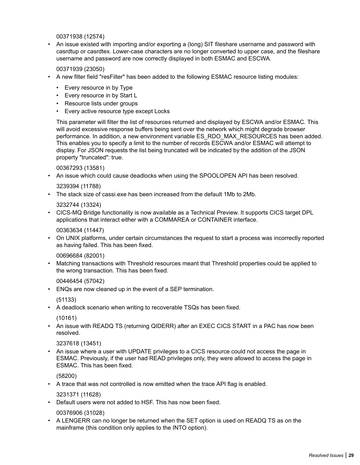00371938 (12574)

• An issue existed with importing and/or exporting a (long) SIT fileshare username and password with casrdtup or casrdtex. Lower-case characters are no longer converted to upper case, and the fileshare username and password are now correctly displayed in both ESMAC and ESCWA.

# 00371939 (23050)

- A new filter field "resFilter" has been added to the following ESMAC resource listing modules:
	- Every resource in by Type
	- Every resource in by Start L
	- Resource lists under groups
	- Every active resource type except Locks

This parameter will filter the list of resources returned and displayed by ESCWA and/or ESMAC. This will avoid excessive response buffers being sent over the network which might degrade browser performance. In addition, a new environment variable ES\_RDO\_MAX\_RESOURCES has been added. This enables you to specify a limit to the number of records ESCWA and/or ESMAC will attempt to display. For JSON requests the list being truncated will be indicated by the addition of the JSON property "truncated": true.

#### 00367293 (13581)

• An issue which could cause deadlocks when using the SPOOLOPEN API has been resolved.

#### 3239394 (11788)

• The stack size of cassi.exe has been increased from the default 1Mb to 2Mb.

#### 3232744 (13324)

• CICS-MQ Bridge functionality is now available as a Technical Preview. It supports CICS target DPL applications that interact either with a COMMAREA or CONTAINER interface.

#### 00363634 (11447)

• On UNIX platforms, under certain circumstances the request to start a process was incorrectly reported as having failed. This has been fixed.

#### 00696684 (82001)

• Matching transactions with Threshold resources meant that Threshold properties could be applied to the wrong transaction. This has been fixed.

#### 00446454 (57042)

• ENQs are now cleaned up in the event of a SEP termination.

#### (51133)

• A deadlock scenario when writing to recoverable TSQs has been fixed.

# (10161)

• An issue with READQ TS (returning QIDERR) after an EXEC CICS START in a PAC has now been resolved.

#### 3237618 (13451)

• An issue where a user with UPDATE privileges to a CICS resource could not access the page in ESMAC. Previously, if the user had READ privileges only, they were allowed to access the page in ESMAC. This has been fixed.

(58200)

• A trace that was not controlled is now emitted when the trace API flag is enabled.

3231371 (11628)

• Default users were not added to HSF. This has now been fixed.

#### 00376906 (31028)

• A LENGERR can no longer be returned when the SET option is used on READQ TS as on the mainframe (this condition only applies to the INTO option).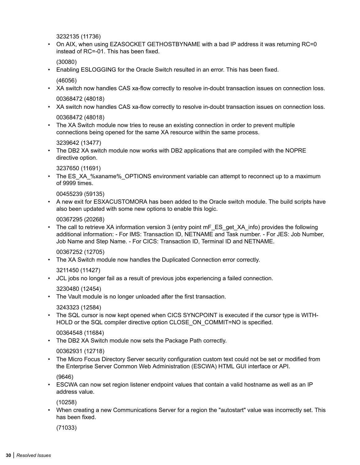3232135 (11736)

• On AIX, when using EZASOCKET GETHOSTBYNAME with a bad IP address it was returning RC=0 instead of RC=-01. This has been fixed.

(30080)

• Enabling ESLOGGING for the Oracle Switch resulted in an error. This has been fixed.

(46056)

- XA switch now handles CAS xa-flow correctly to resolve in-doubt transaction issues on connection loss. 00368472 (48018)
- XA switch now handles CAS xa-flow correctly to resolve in-doubt transaction issues on connection loss. 00368472 (48018)

• The XA Switch module now tries to reuse an existing connection in order to prevent multiple connections being opened for the same XA resource within the same process.

3239642 (13477)

• The DB2 XA switch module now works with DB2 applications that are compiled with the NOPRE directive option.

3237650 (11691)

• The ES\_XA\_%xaname%\_OPTIONS environment variable can attempt to reconnect up to a maximum of 9999 times.

00455239 (59135)

• A new exit for ESXACUSTOMORA has been added to the Oracle switch module. The build scripts have also been updated with some new options to enable this logic.

00367295 (20268)

• The call to retrieve XA information version 3 (entry point mF\_ES\_get\_XA\_info) provides the following additional information: - For IMS: Transaction ID, NETNAME and Task number. - For JES: Job Number, Job Name and Step Name. - For CICS: Transaction ID, Terminal ID and NETNAME.

00367252 (12705)

• The XA Switch module now handles the Duplicated Connection error correctly.

3211450 (11427)

• JCL jobs no longer fail as a result of previous jobs experiencing a failed connection.

3230480 (12454)

• The Vault module is no longer unloaded after the first transaction.

3243323 (12584)

• The SQL cursor is now kept opened when CICS SYNCPOINT is executed if the cursor type is WITH-HOLD or the SQL compiler directive option CLOSE ON COMMIT=NO is specified.

00364548 (11684)

• The DB2 XA Switch module now sets the Package Path correctly.

00362931 (12718)

• The Micro Focus Directory Server security configuration custom text could not be set or modified from the Enterprise Server Common Web Administration (ESCWA) HTML GUI interface or API.

(9646)

• ESCWA can now set region listener endpoint values that contain a valid hostname as well as an IP address value.

(10258)

• When creating a new Communications Server for a region the "autostart" value was incorrectly set. This has been fixed.

(71033)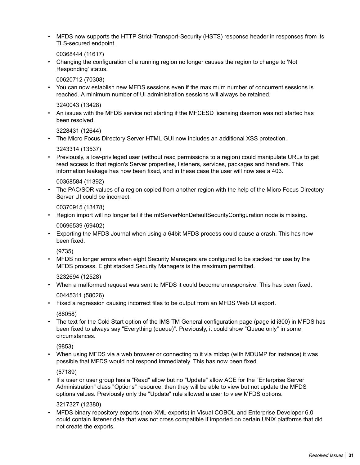• MFDS now supports the HTTP Strict-Transport-Security (HSTS) response header in responses from its TLS-secured endpoint.

00368444 (11617)

• Changing the configuration of a running region no longer causes the region to change to 'Not Responding' status.

00620712 (70308)

• You can now establish new MFDS sessions even if the maximum number of concurrent sessions is reached. A minimum number of UI administration sessions will always be retained.

3240043 (13428)

• An issues with the MFDS service not starting if the MFCESD licensing daemon was not started has been resolved.

3228431 (12644)

• The Micro Focus Directory Server HTML GUI now includes an additional XSS protection.

3243314 (13537)

• Previously, a low-privileged user (without read permissions to a region) could manipulate URLs to get read access to that region's Server properties, listeners, services, packages and handlers. This information leakage has now been fixed, and in these case the user will now see a 403.

00368584 (11392)

• The PAC/SOR values of a region copied from another region with the help of the Micro Focus Directory Server UI could be incorrect.

00370915 (13478)

- Region import will no longer fail if the mfServerNonDefaultSecurityConfiguration node is missing. 00696539 (69402)
- Exporting the MFDS Journal when using a 64bit MFDS process could cause a crash. This has now been fixed.

(9735)

• MFDS no longer errors when eight Security Managers are configured to be stacked for use by the MFDS process. Eight stacked Security Managers is the maximum permitted.

3232694 (12528)

• When a malformed request was sent to MFDS it could become unresponsive. This has been fixed.

00445311 (58026)

• Fixed a regression causing incorrect files to be output from an MFDS Web UI export.

(86058)

• The text for the Cold Start option of the IMS TM General configuration page (page id i300) in MFDS has been fixed to always say "Everything (queue)". Previously, it could show "Queue only" in some circumstances.

(9853)

• When using MFDS via a web browser or connecting to it via mldap (with MDUMP for instance) it was possible that MFDS would not respond immediately. This has now been fixed.

(57189)

• If a user or user group has a "Read" allow but no "Update" allow ACE for the "Enterprise Server Administration" class "Options" resource, then they will be able to view but not update the MFDS options values. Previously only the "Update" rule allowed a user to view MFDS options.

3217327 (12380)

• MFDS binary repository exports (non-XML exports) in Visual COBOL and Enterprise Developer 6.0 could contain listener data that was not cross compatible if imported on certain UNIX platforms that did not create the exports.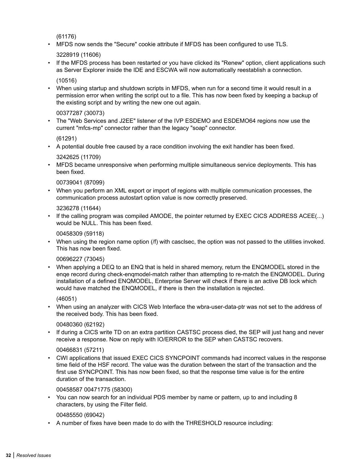(61176)

• MFDS now sends the "Secure" cookie attribute if MFDS has been configured to use TLS.

3228919 (11606)

• If the MFDS process has been restarted or you have clicked its "Renew" option, client applications such as Server Explorer inside the IDE and ESCWA will now automatically reestablish a connection.

(10516)

• When using startup and shutdown scripts in MFDS, when run for a second time it would result in a permission error when writing the script out to a file. This has now been fixed by keeping a backup of the existing script and by writing the new one out again.

# 00377287 (30073)

• The "Web Services and J2EE" listener of the IVP ESDEMO and ESDEMO64 regions now use the current "mfcs-mp" connector rather than the legacy "soap" connector.

(61291)

• A potential double free caused by a race condition involving the exit handler has been fixed.

3242625 (11709)

• MFDS became unresponsive when performing multiple simultaneous service deployments. This has been fixed.

# 00739041 (87099)

• When you perform an XML export or import of regions with multiple communication processes, the communication process autostart option value is now correctly preserved.

3236278 (11644)

• If the calling program was compiled AMODE, the pointer returned by EXEC CICS ADDRESS ACEE(...) would be NULL. This has been fixed.

00458309 (59118)

• When using the region name option (/f) with casclsec, the option was not passed to the utilities invoked. This has now been fixed.

# 00696227 (73045)

• When applying a DEQ to an ENQ that is held in shared memory, return the ENQMODEL stored in the enqe record during check-enqmodel-match rather than attempting to re-match the ENQMODEL. During installation of a defined ENQMODEL, Enterprise Server will check if there is an active DB lock which would have matched the ENQMODEL, if there is then the installation is rejected.

(46051)

• When using an analyzer with CICS Web Interface the wbra-user-data-ptr was not set to the address of the received body. This has been fixed.

# 00480360 (62192)

• If during a CICS write TD on an extra partition CASTSC process died, the SEP will just hang and never receive a response. Now on reply with IO/ERROR to the SEP when CASTSC recovers.

# 00466831 (57211)

• CWI applications that issued EXEC CICS SYNCPOINT commands had incorrect values in the response time field of the HSF record. The value was the duration between the start of the transaction and the first use SYNCPOINT. This has now been fixed, so that the response time value is for the entire duration of the transaction.

# 00458587 00471775 (58300)

• You can now search for an individual PDS member by name or pattern, up to and including 8 characters, by using the Filter field.

# 00485550 (69042)

• A number of fixes have been made to do with the THRESHOLD resource including: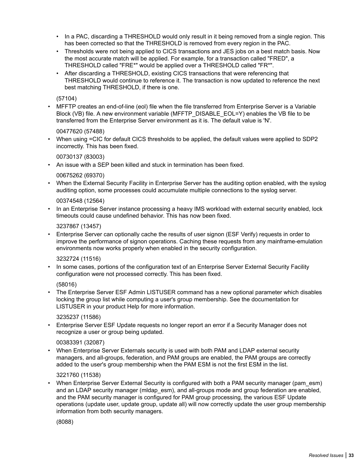- In a PAC, discarding a THRESHOLD would only result in it being removed from a single region. This has been corrected so that the THRESHOLD is removed from every region in the PAC.
- Thresholds were not being applied to CICS transactions and JES jobs on a best match basis. Now the most accurate match will be applied. For example, for a transaction called "FRED", a THRESHOLD called "FRE\*" would be applied over a THRESHOLD called "FR\*".
- After discarding a THRESHOLD, existing CICS transactions that were referencing that THRESHOLD would continue to reference it. The transaction is now updated to reference the next best matching THRESHOLD, if there is one.

### (57104)

• MFFTP creates an end-of-line (eol) file when the file transferred from Enterprise Server is a Variable Block (VB) file. A new environment variable (MFFTP\_DISABLE\_EOL=Y) enables the VB file to be transferred from the Enterprise Server environment as it is. The default value is 'N'.

# 00477620 (57488)

• When using =CIC for default CICS thresholds to be applied, the default values were applied to SDP2 incorrectly. This has been fixed.

#### 00730137 (83003)

• An issue with a SEP been killed and stuck in termination has been fixed.

#### 00675262 (69370)

• When the External Security Facility in Enterprise Server has the auditing option enabled, with the syslog auditing option, some processes could accumulate multiple connections to the syslog server.

#### 00374548 (12564)

• In an Enterprise Server instance processing a heavy IMS workload with external security enabled, lock timeouts could cause undefined behavior. This has now been fixed.

#### 3237867 (13457)

• Enterprise Server can optionally cache the results of user signon (ESF Verify) requests in order to improve the performance of signon operations. Caching these requests from any mainframe-emulation environments now works properly when enabled in the security configuration.

#### 3232724 (11516)

In some cases, portions of the configuration text of an Enterprise Server External Security Facility configuration were not processed correctly. This has been fixed.

#### (58016)

• The Enterprise Server ESF Admin LISTUSER command has a new optional parameter which disables locking the group list while computing a user's group membership. See the documentation for LISTUSER in your product Help for more information.

#### 3235237 (11586)

• Enterprise Server ESF Update requests no longer report an error if a Security Manager does not recognize a user or group being updated.

# 00383391 (32087)

• When Enterprise Server Externals security is used with both PAM and LDAP external security managers, and all-groups, federation, and PAM groups are enabled, the PAM groups are correctly added to the user's group membership when the PAM ESM is not the first ESM in the list.

#### 3221760 (11538)

When Enterprise Server External Security is configured with both a PAM security manager (pam\_esm) and an LDAP security manager (midap esm), and all-groups mode and group federation are enabled, and the PAM security manager is configured for PAM group processing, the various ESF Update operations (update user, update group, update all) will now correctly update the user group membership information from both security managers.

# (8088)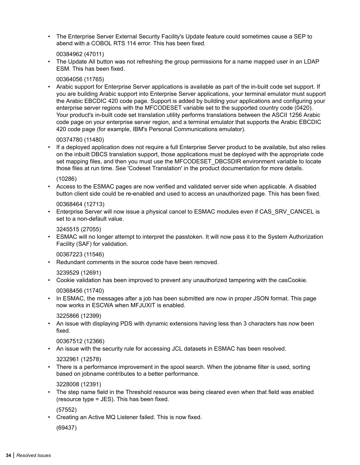• The Enterprise Server External Security Facility's Update feature could sometimes cause a SEP to abend with a COBOL RTS 114 error. This has been fixed.

00384962 (47011)

The Update All button was not refreshing the group permissions for a name mapped user in an LDAP ESM. This has been fixed.

00364056 (11765)

• Arabic support for Enterprise Server applications is available as part of the in-built code set support. If you are building Arabic support into Enterprise Server applications, your terminal emulator must support the Arabic EBCDIC 420 code page. Support is added by building your applications and configuring your enterprise server regions with the MFCODESET variable set to the supported country code (0420). Your product's in-built code set translation utility performs translations between the ASCII 1256 Arabic code page on your enterprise server region, and a terminal emulator that supports the Arabic EBCDIC 420 code page (for example, IBM's Personal Communications emulator).

00374780 (11480)

• If a deployed application does not require a full Enterprise Server product to be available, but also relies on the inbuilt DBCS translation support, those applications must be deployed with the appropriate code set mapping files, and then you must use the MFCODESET\_DBCSDIR environment variable to locate those files at run time. See 'Codeset Translation' in the product documentation for more details.

(10286)

• Access to the ESMAC pages are now verified and validated server side when applicable. A disabled button client side could be re-enabled and used to access an unauthorized page. This has been fixed.

00368464 (12713)

• Enterprise Server will now issue a physical cancel to ESMAC modules even if CAS\_SRV\_CANCEL is set to a non-default value.

3245515 (27055)

• ESMAC will no longer attempt to interpret the passtoken. It will now pass it to the System Authorization Facility (SAF) for validation.

00367223 (11546)

• Redundant comments in the source code have been removed.

3239529 (12691)

• Cookie validation has been improved to prevent any unauthorized tampering with the casCookie.

00368456 (11740)

• In ESMAC, the messages after a job has been submitted are now in proper JSON format. This page now works in ESCWA when MFJUXIT is enabled.

3225866 (12399)

• An issue with displaying PDS with dynamic extensions having less than 3 characters has now been fixed.

00367512 (12366)

• An issue with the security rule for accessing JCL datasets in ESMAC has been resolved.

3232961 (12578)

• There is a performance improvement in the spool search. When the jobname filter is used, sorting based on jobname contributes to a better performance.

3228008 (12391)

• The step name field in the Threshold resource was being cleared even when that field was enabled (resource type = JES). This has been fixed.

(57552)

• Creating an Active MQ Listener failed. This is now fixed.

(69437)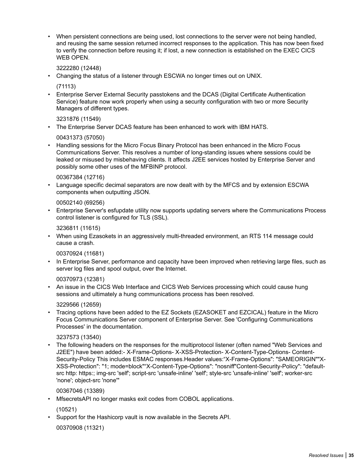• When persistent connections are being used, lost connections to the server were not being handled, and reusing the same session returned incorrect responses to the application. This has now been fixed to verify the connection before reusing it; if lost, a new connection is established on the EXEC CICS WEB OPEN.

3222280 (12448)

• Changing the status of a listener through ESCWA no longer times out on UNIX.

(71113)

• Enterprise Server External Security passtokens and the DCAS (Digital Certificate Authentication Service) feature now work properly when using a security configuration with two or more Security Managers of different types.

3231876 (11549)

• The Enterprise Server DCAS feature has been enhanced to work with IBM HATS.

00431373 (57050)

• Handling sessions for the Micro Focus Binary Protocol has been enhanced in the Micro Focus Communications Server. This resolves a number of long-standing issues where sessions could be leaked or misused by misbehaving clients. It affects J2EE services hosted by Enterprise Server and possibly some other uses of the MFBINP protocol.

### 00367384 (12716)

• Language specific decimal separators are now dealt with by the MFCS and by extension ESCWA components when outputting JSON.

00502140 (69256)

• Enterprise Server's esfupdate utility now supports updating servers where the Communications Process control listener is configured for TLS (SSL).

3236811 (11615)

• When using Ezasokets in an aggressively multi-threaded environment, an RTS 114 message could cause a crash.

00370924 (11681)

• In Enterprise Server, performance and capacity have been improved when retrieving large files, such as server log files and spool output, over the Internet.

00370973 (12381)

• An issue in the CICS Web Interface and CICS Web Services processing which could cause hung sessions and ultimately a hung communications process has been resolved.

3229566 (12659)

• Tracing options have been added to the EZ Sockets (EZASOKET and EZCICAL) feature in the Micro Focus Communications Server component of Enterprise Server. See 'Configuring Communications Processes' in the documentation.

#### 3237573 (13540)

• The following headers on the responses for the multiprotocol listener (often named "Web Services and J2EE") have been added:- X-Frame-Options- X-XSS-Protection- X-Content-Type-Options- Content-Security-Policy This includes ESMAC responses.Header values:"X-Frame-Options": "SAMEORIGIN""X-XSS-Protection": "1; mode=block""X-Content-Type-Options": "nosniff"Content-Security-Policy": "defaultsrc http: https:; img-src 'self'; script-src 'unsafe-inline' 'self'; style-src 'unsafe-inline' 'self'; worker-src 'none'; object-src 'none'"

00367046 (13389)

• MfsecretsAPI no longer masks exit codes from COBOL applications.

(10521)

• Support for the Hashicorp vault is now available in the Secrets API.

00370908 (11321)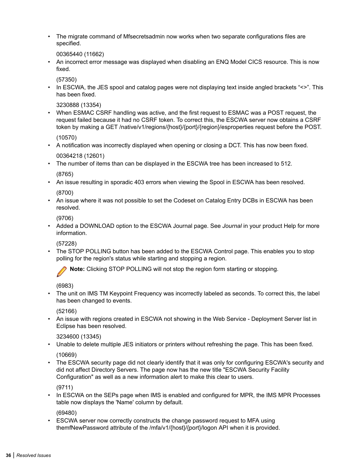• The migrate command of Mfsecretsadmin now works when two separate configurations files are specified.

00365440 (11662)

• An incorrect error message was displayed when disabling an ENQ Model CICS resource. This is now fixed.

(57350)

• In ESCWA, the JES spool and catalog pages were not displaying text inside angled brackets "<>". This has been fixed.

3230888 (13354)

• When ESMAC CSRF handling was active, and the first request to ESMAC was a POST request, the request failed because it had no CSRF token. To correct this, the ESCWA server now obtains a CSRF token by making a GET /native/v1/regions/{host}/{port}/{region}/esproperties request before the POST.

(10570)

- A notification was incorrectly displayed when opening or closing a DCT. This has now been fixed. 00364218 (12601)
- The number of items than can be displayed in the ESCWA tree has been increased to 512.

(8765)

• An issue resulting in sporadic 403 errors when viewing the Spool in ESCWA has been resolved.

(8700)

• An issue where it was not possible to set the Codeset on Catalog Entry DCBs in ESCWA has been resolved.

(9706)

• Added a DOWNLOAD option to the ESCWA Journal page. See *Journal* in your product Help for more information.

(57228)

• The STOP POLLING button has been added to the ESCWA Control page. This enables you to stop polling for the region's status while starting and stopping a region.

**Note:** Clicking STOP POLLING will not stop the region form starting or stopping.

(6983)

• The unit on IMS TM Keypoint Frequency was incorrectly labeled as seconds. To correct this, the label has been changed to events.

(52166)

• An issue with regions created in ESCWA not showing in the Web Service - Deployment Server list in Eclipse has been resolved.

3234600 (13345)

• Unable to delete multiple JES initiators or printers without refreshing the page. This has been fixed.

(10669)

• The ESCWA security page did not clearly identify that it was only for configuring ESCWA's security and did not affect Directory Servers. The page now has the new title "ESCWA Security Facility Configuration" as well as a new information alert to make this clear to users.

(9711)

• In ESCWA on the SEPs page when IMS is enabled and configured for MPR, the IMS MPR Processes table now displays the 'Name' column by default.

(69480)

• ESCWA server now correctly constructs the change password request to MFA using themfNewPassword attribute of the /mfa/v1/{host}/{port}/logon API when it is provided.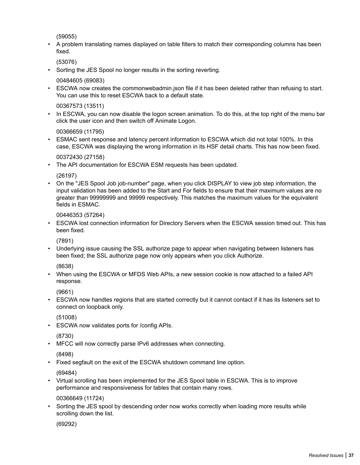(59055)

• A problem translating names displayed on table filters to match their corresponding columns has been fixed.

(53076)

• Sorting the JES Spool no longer results in the sorting reverting.

00484605 (69083)

• ESCWA now creates the commonwebadmin.json file if it has been deleted rather than refusing to start. You can use this to reset ESCWA back to a default state.

00367573 (13511)

• In ESCWA, you can now disable the logon screen animation. To do this, at the top right of the menu bar click the user icon and then switch off Animate Logon.

00366659 (11795)

• ESMAC sent response and latency percent information to ESCWA which did not total 100%. In this case, ESCWA was displaying the wrong information in its HSF detail charts. This has now been fixed.

00372430 (27158)

• The API documentation for ESCWA ESM requests has been updated.

(26197)

• On the "JES Spool Job job-number" page, when you click DISPLAY to view job step information, the input validation has been added to the Start and For fields to ensure that their maximum values are no greater than 99999999 and 99999 respectively. This matches the maximum values for the equivalent fields in ESMAC.

00446353 (57264)

• ESCWA lost connection information for Directory Servers when the ESCWA session timed out. This has been fixed.

(7891)

• Underlying issue causing the SSL authorize page to appear when navigating between listeners has been fixed; the SSL authorize page now only appears when you click Authorize.

(8638)

• When using the ESCWA or MFDS Web APIs, a new session cookie is now attached to a failed API response.

(9661)

• ESCWA now handles regions that are started correctly but it cannot contact if it has its listeners set to connect on loopback only.

(51008)

• ESCWA now validates ports for /config APIs.

(8730)

• MFCC will now correctly parse IPv6 addresses when connecting.

(8498)

• Fixed segfault on the exit of the ESCWA shutdown command line option.

(69484)

• Virtual scrolling has been implemented for the JES Spool table in ESCWA. This is to improve performance and responsiveness for tables that contain many rows.

00366649 (11724)

Sorting the JES spool by descending order now works correctly when loading more results while scrolling down the list.

(69292)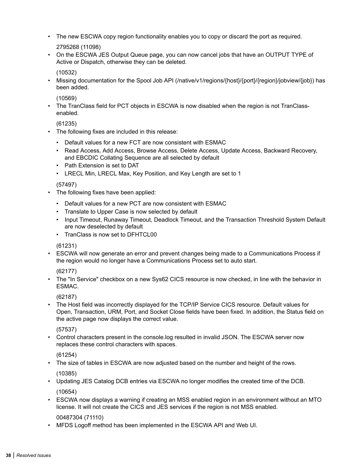• The new ESCWA copy region functionality enables you to copy or discard the port as required.

2795268 (11098)

• On the ESCWA JES Output Queue page, you can now cancel jobs that have an OUTPUT TYPE of Active or Dispatch, otherwise they can be deleted.

(10532)

• Missing documentation for the Spool Job API (/native/v1/regions/{host}/{port}/{region}/jobview/{job}) has been added.

(10569)

• The TranClass field for PCT objects in ESCWA is now disabled when the region is not TranClassenabled.

(61235)

- The following fixes are included in this release:
	- Default values for a new FCT are now consistent with ESMAC
	- Read Access, Add Access, Browse Access, Delete Access, Update Access, Backward Recovery, and EBCDIC Collating Sequence are all selected by default
	- Path Extension is set to DAT
	- LRECL Min, LRECL Max, Key Position, and Key Length are set to 1

(57497)

- The following fixes have been applied:
	- Default values for a new PCT are now consistent with ESMAC
	- Translate to Upper Case is now selected by default
	- Input Timeout, Runaway Timeout, Deadlock Timeout, and the Transaction Threshold System Default are now deselected by default
	- TranClass is now set to DEHTCL00

(61231)

• ESCWA will now generate an error and prevent changes being made to a Communications Process if the region would no longer have a Communications Process set to auto start.

(62177)

• The "In Service" checkbox on a new Sys62 CICS resource is now checked, in line with the behavior in ESMAC.

(62187)

• The Host field was incorrectly displayed for the TCP/IP Service CICS resource. Default values for Open, Transaction, URM, Port, and Socket Close fields have been fixed. In addition, the Status field on the active page now displays the correct value.

(57537)

• Control characters present in the console.log resulted in invalid JSON. The ESCWA server now replaces these control characters with spaces.

(61254)

• The size of tables in ESCWA are now adjusted based on the number and height of the rows.

(10385)

- Updating JES Catalog DCB entries via ESCWA no longer modifies the created time of the DCB. (10654)
- ESCWA now displays a warning if creating an MSS enabled region in an environment without an MTO license. It will not create the CICS and JES services if the region is not MSS enabled.

00487304 (71110)

• MFDS Logoff method has been implemented in the ESCWA API and Web UI.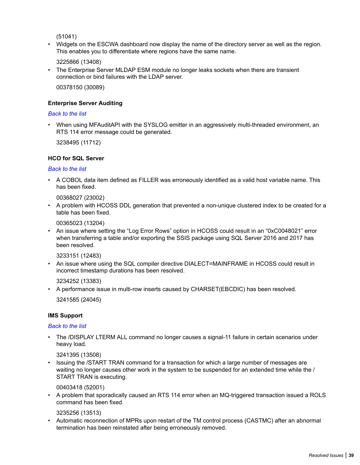(51041)

• Widgets on the ESCWA dashboard now display the name of the directory server as well as the region. This enables you to differentiate where regions have the same name.

3225866 (13408)

• The Enterprise Server MLDAP ESM module no longer leaks sockets when there are transient connection or bind failures with the LDAP server.

00378150 (30089)

#### **Enterprise Server Auditing**

#### *[Back to the list](#page-21-0)*

• When using MFAuditAPI with the SYSLOG emitter in an aggressively multi-threaded environment, an RTS 114 error message could be generated.

3238495 (11712)

#### **HCO for SQL Server**

#### *[Back to the list](#page-21-0)*

• A COBOL data item defined as FILLER was erroneously identified as a valid host variable name. This has been fixed.

00368027 (23002)

• A problem with HCOSS DDL generation that prevented a non-unique clustered index to be created for a table has been fixed.

00365023 (13204)

• An issue where setting the "Log Error Rows" option in HCOSS could result in an "0xC0048021" error when transferring a table and/or exporting the SSIS package using SQL Server 2016 and 2017 has been resolved.

3233151 (12483)

• An issue where using the SQL compiler directive DIALECT=MAINFRAME in HCOSS could result in incorrect timestamp durations has been resolved.

3234252 (13383)

• A performance issue in multi-row inserts caused by CHARSET(EBCDIC) has been resolved.

3241585 (24045)

#### **IMS Support**

#### *[Back to the list](#page-21-0)*

• The /DISPLAY LTERM ALL command no longer causes a signal-11 failure in certain scenarios under heavy load.

3241395 (13508)

• Issuing the /START TRAN command for a transaction for which a large number of messages are waiting no longer causes other work in the system to be suspended for an extended time while the / START TRAN is executing.

00403418 (52001)

• A problem that sporadically caused an RTS 114 error when an MQ-triggered transaction issued a ROLS command has been fixed.

3235256 (13513)

• Automatic reconnection of MPRs upon restart of the TM control process (CASTMC) after an abnormal termination has been reinstated after being erroneously removed.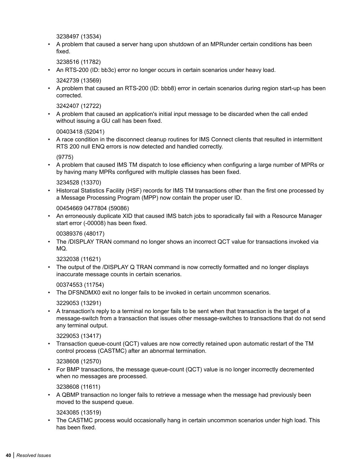3238497 (13534)

• A problem that caused a server hang upon shutdown of an MPRunder certain conditions has been fixed.

3238516 (11782)

• An RTS-200 (ID: bb3c) error no longer occurs in certain scenarios under heavy load.

3242739 (13569)

• A problem that caused an RTS-200 (ID: bbb8) error in certain scenarios during region start-up has been corrected.

3242407 (12722)

• A problem that caused an application's initial input message to be discarded when the call ended without issuing a GU call has been fixed.

00403418 (52041)

• A race condition in the disconnect cleanup routines for IMS Connect clients that resulted in intermittent RTS 200 null ENQ errors is now detected and handled correctly.

(9775)

• A problem that caused IMS TM dispatch to lose efficiency when configuring a large number of MPRs or by having many MPRs configured with multiple classes has been fixed.

3234528 (13370)

• Historcal Statistics Facility (HSF) records for IMS TM transactions other than the first one processed by a Message Processing Program (MPP) now contain the proper user ID.

00454669 0477804 (59086)

• An erroneously duplicate XID that caused IMS batch jobs to sporadically fail with a Resource Manager start error (-00008) has been fixed.

00389376 (48017)

• The /DISPLAY TRAN command no longer shows an incorrect QCT value for transactions invoked via MQ.

3232038 (11621)

• The output of the /DISPLAY Q TRAN command is now correctly formatted and no longer displays inaccurate message counts in certain scenarios.

00374553 (11754)

• The DFSNDMX0 exit no longer fails to be invoked in certain uncommon scenarios.

3229053 (13291)

• A transaction's reply to a terminal no longer fails to be sent when that transaction is the target of a message-switch from a transaction that issues other message-switches to transactions that do not send any terminal output.

3229053 (13417)

• Transaction queue-count (QCT) values are now correctly retained upon automatic restart of the TM control process (CASTMC) after an abnormal termination.

3238608 (12570)

• For BMP transactions, the message queue-count (QCT) value is no longer incorrectly decremented when no messages are processed.

3238608 (11611)

• A QBMP transaction no longer fails to retrieve a message when the message had previously been moved to the suspend queue.

3243085 (13519)

• The CASTMC process would occasionally hang in certain uncommon scenarios under high load. This has been fixed.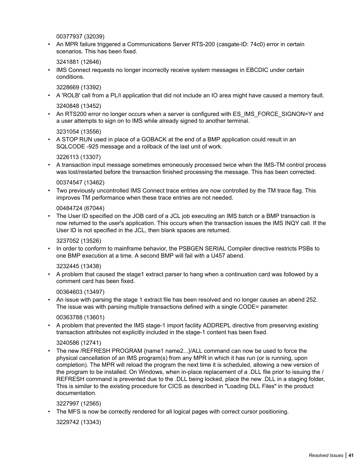00377937 (32039)

• An MPR failure triggered a Communications Server RTS-200 (casgate-ID: 74c0) error in certain scenarios. This has been fixed.

3241881 (12646)

IMS Connect requests no longer incorrectly receive system messages in EBCDIC under certain conditions.

3228669 (13392)

- A 'ROLB' call from a PL/I application that did not include an IO area might have caused a memory fault. 3240848 (13452)
- An RTS200 error no longer occurs when a server is configured with ES IMS FORCE SIGNON=Y and a user attempts to sign on to IMS while already signed to another terminal.

3231054 (13556)

• A STOP RUN used in place of a GOBACK at the end of a BMP application could result in an SQLCODE -925 message and a rollback of the last unit of work.

3226113 (13307)

• A transaction input message sometimes erroneously processed twice when the IMS-TM control process was lost/restarted before the transaction finished processing the message. This has been corrected.

#### 00374547 (13462)

• Two previously uncontrolled IMS Connect trace entries are now controlled by the TM trace flag. This improves TM performance when these trace entries are not needed.

00484724 (67044)

The User ID specified on the JOB card of a JCL job executing an IMS batch or a BMP transaction is now returned to the user's application. This occurs when the transaction issues the IMS INQY call. If the User ID is not specified in the JCL, then blank spaces are returned.

#### 3237052 (13526)

• In order to conform to mainframe behavior, the PSBGEN SERIAL Compiler directive restricts PSBs to one BMP execution at a time. A second BMP will fail with a U457 abend.

#### 3232445 (13438)

• A problem that caused the stage1 extract parser to hang when a continuation card was followed by a comment card has been fixed.

#### 00364603 (13497)

• An issue with parsing the stage 1 extract file has been resolved and no longer causes an abend 252. The issue was with parsing multiple transactions defined with a single CODE= parameter.

#### 00363788 (13601)

• A problem that prevented the IMS stage-1 import facility ADDREPL directive from preserving existing transaction attributes not explicitly included in the stage-1 content has been fixed.

#### 3240586 (12741)

• The new /REFRESH PROGRAM {name1 name2...}/ALL command can now be used to force the physical cancellation of an IMS program(s) from any MPR in which it has run (or is running, upon completion). The MPR will reload the program the next time it is scheduled, allowing a new version of the program to be installed. On Windows, when in-place replacement of a .DLL file prior to issuing the / REFRESH command is prevented due to the .DLL being locked, place the new .DLL in a staging folder, This is similar to the existing procedure for CICS as described in "Loading DLL Files" in the product documentation.

#### 3227997 (12565)

• The MFS is now be correctly rendered for all logical pages with correct cursor positioning.

3229742 (13343)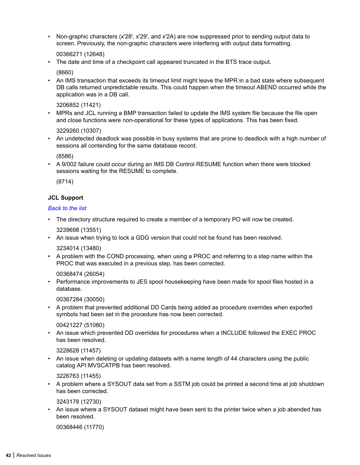• Non-graphic characters (x'28', x'29', and x'2A) are now suppressed prior to sending output data to screen. Previously, the non-graphic characters were interfering with output data formatting.

00366271 (12648)

• The date and time of a checkpoint call appeared truncated in the BTS trace output.

(8660)

• An IMS transaction that exceeds its timeout limit might leave the MPR in a bad state where subsequent DB calls returned unpredictable results. This could happen when the timeout ABEND occurred while the application was in a DB call.

3206852 (11421)

• MPRs and JCL running a BMP transaction failed to update the IMS system file because the file open and close functions were non-operational for these types of applications. This has been fixed.

3229260 (10307)

• An undetected deadlock was possible in busy systems that are prone to deadlock with a high number of sessions all contending for the same database record.

(8586)

• A 9/002 failure could occur during an IMS DB Control RESUME function when there were blocked sessions waiting for the RESUME to complete.

(8714)

#### **JCL Support**

#### *[Back to the list](#page-21-0)*

• The directory structure required to create a member of a temporary PO will now be created.

3239698 (13551)

• An issue when trying to lock a GDG version that could not be found has been resolved.

3234014 (13480)

• A problem with the COND processing, when using a PROC and referring to a step name within the PROC that was executed in a previous step, has been corrected.

00368474 (26054)

• Performance improvements to JES spool housekeeping have been made for spool files hosted in a database.

00367284 (30050)

• A problem that prevented additional DD Cards being added as procedure overrides when exported symbols had been set in the procedure has now been corrected.

00421227 (51080)

• An issue which prevented DD overrides for procedures when a INCLUDE followed the EXEC PROC has been resolved.

3228628 (11457)

• An issue when deleting or updating datasets with a name length of 44 characters using the public catalog API MVSCATPB has been resolved.

3226763 (11455)

• A problem where a SYSOUT data set from a SSTM job could be printed a second time at job shutdown has been corrected.

3243178 (12730)

• An issue where a SYSOUT dataset might have been sent to the printer twice when a job abended has been resolved.

00368446 (11770)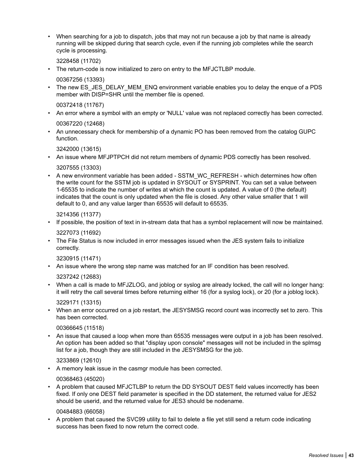• When searching for a job to dispatch, jobs that may not run because a job by that name is already running will be skipped during that search cycle, even if the running job completes while the search cycle is processing.

3228458 (11702)

• The return-code is now initialized to zero on entry to the MFJCTLBP module.

00367256 (13393)

The new ES\_JES\_DELAY\_MEM\_ENQ environment variable enables you to delay the enque of a PDS member with DISP=SHR until the member file is opened.

00372418 (11767)

• An error where a symbol with an empty or 'NULL' value was not replaced correctly has been corrected.

00367220 (12468)

• An unnecessary check for membership of a dynamic PO has been removed from the catalog GUPC function.

3242000 (13615)

• An issue where MFJPTPCH did not return members of dynamic PDS correctly has been resolved.

3207555 (13303)

• A new environment variable has been added - SSTM\_WC\_REFRESH - which determines how often the write count for the SSTM job is updated in SYSOUT or SYSPRINT. You can set a value between 1-65535 to indicate the number of writes at which the count is updated. A value of 0 (the default) indicates that the count is only updated when the file is closed. Any other value smaller that 1 will default to 0, and any value larger than 65535 will default to 65535.

3214356 (11377)

• If possible, the position of text in in-stream data that has a symbol replacement will now be maintained.

3227073 (11692)

• The File Status is now included in error messages issued when the JES system fails to initialize correctly.

3230915 (11471)

• An issue where the wrong step name was matched for an IF condition has been resolved.

3237242 (12683)

• When a call is made to MFJZLOG, and joblog or syslog are already locked, the call will no longer hang: it will retry the call several times before returning either 16 (for a syslog lock), or 20 (for a joblog lock).

3229171 (13315)

• When an error occurred on a job restart, the JESYSMSG record count was incorrectly set to zero. This has been corrected.

00366645 (11518)

• An issue that caused a loop when more than 65535 messages were output in a job has been resolved. An option has been added so that "display upon console" messages will not be included in the splmsg list for a job, though they are still included in the JESYSMSG for the job.

3233869 (12610)

• A memory leak issue in the casmgr module has been corrected.

00368463 (45020)

• A problem that caused MFJCTLBP to return the DD SYSOUT DEST field values incorrectly has been fixed. If only one DEST field parameter is specified in the DD statement, the returned value for JES2 should be userid, and the returned value for JES3 should be nodename.

00484883 (66058)

• A problem that caused the SVC99 utility to fail to delete a file yet still send a return code indicating success has been fixed to now return the correct code.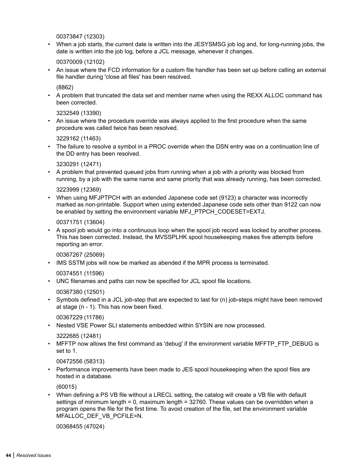00373847 (12303)

• When a job starts, the current date is written into the JESYSMSG job log and, for long-running jobs, the date is written into the job log, before a JCL message, whenever it changes.

00370009 (12102)

• An issue where the FCD information for a custom file handler has been set up before calling an external file handler during 'close all files' has been resolved.

(8862)

• A problem that truncated the data set and member name when using the REXX ALLOC command has been corrected.

3232549 (13390)

• An issue where the procedure override was always applied to the first procedure when the same procedure was called twice has been resolved.

3229162 (11463)

• The failure to resolve a symbol in a PROC override when the DSN entry was on a continuation line of the DD entry has been resolved.

3230291 (12471)

• A problem that prevented queued jobs from running when a job with a priority was blocked from running, by a job with the same name and same priority that was already running, has been corrected.

3223999 (12369)

• When using MFJPTPCH with an extended Japanese code set (9123) a character was incorrectly marked as non-printable. Support when using extended Japanese code sets other than 9122 can now be enabled by setting the environment variable MFJ\_PTPCH\_CODESET=EXTJ.

00371751 (13604)

• A spool job would go into a continuous loop when the spool job record was locked by another process. This has been corrected. Instead, the MVSSPLHK spool housekeeping makes five attempts before reporting an error.

00367267 (25069)

• IMS SSTM jobs will now be marked as abended if the MPR process is terminated.

00374551 (11596)

• UNC filenames and paths can now be specified for JCL spool file locations.

00367380 (12501)

• Symbols defined in a JCL job-step that are expected to last for (n) job-steps might have been removed at stage (n - 1). This has now been fixed.

00367229 (11786)

• Nested VSE Power SLI statements embedded within SYSIN are now processed.

3222685 (12481)

• MFFTP now allows the first command as 'debug' if the environment variable MFFTP\_FTP\_DEBUG is set to 1.

00472556 (58313)

• Performance improvements have been made to JES spool housekeeping when the spool files are hosted in a database.

(60015)

• When defining a PS VB file without a LRECL setting, the catalog will create a VB file with default settings of minimum length = 0, maximum length = 32760. These values can be overridden when a program opens the file for the first time. To avoid creation of the file, set the environment variable MFALLOC\_DEF\_VB\_PCFILE=N.

00368455 (47024)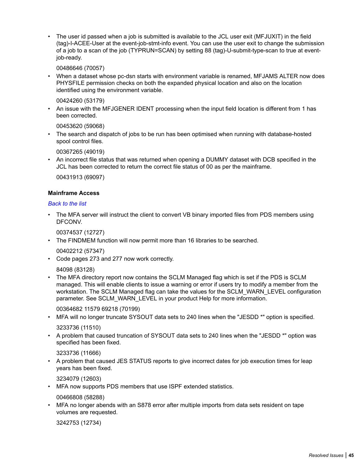• The user id passed when a job is submitted is available to the JCL user exit (MFJUXIT) in the field (tag)-I-ACEE-User at the event-job-stmt-info event. You can use the user exit to change the submission of a job to a scan of the job (TYPRUN=SCAN) by setting 88 (tag)-U-submit-type-scan to true at eventjob-ready.

00486646 (70057)

• When a dataset whose pc-dsn starts with environment variable is renamed, MFJAMS ALTER now does PHYSFILE permission checks on both the expanded physical location and also on the location identified using the environment variable.

00424260 (53179)

• An issue with the MFJGENER IDENT processing when the input field location is different from 1 has been corrected.

00453620 (59068)

• The search and dispatch of jobs to be run has been optimised when running with database-hosted spool control files.

00367265 (49019)

• An incorrect file status that was returned when opening a DUMMY dataset with DCB specified in the JCL has been corrected to return the correct file status of 00 as per the mainframe.

00431913 (69097)

#### **Mainframe Access**

#### *[Back to the list](#page-21-0)*

• The MFA server will instruct the client to convert VB binary imported files from PDS members using DFCONV.

00374537 (12727)

The FINDMEM function will now permit more than 16 libraries to be searched.

00402212 (57347)

• Code pages 273 and 277 now work correctly.

84098 (83128)

• The MFA directory report now contains the SCLM Managed flag which is set if the PDS is SCLM managed. This will enable clients to issue a warning or error if users try to modify a member from the workstation. The SCLM Managed flag can take the values for the SCLM WARN LEVEL configuration parameter. See SCLM\_WARN\_LEVEL in your product Help for more information.

00364682 11579 69218 (70199)

• MFA will no longer truncate SYSOUT data sets to 240 lines when the "JESDD \*" option is specified.

3233736 (11510)

• A problem that caused truncation of SYSOUT data sets to 240 lines when the "JESDD \*" option was specified has been fixed.

3233736 (11666)

• A problem that caused JES STATUS reports to give incorrect dates for job execution times for leap years has been fixed.

3234079 (12603)

• MFA now supports PDS members that use ISPF extended statistics.

00466808 (58288)

• MFA no longer abends with an S878 error after multiple imports from data sets resident on tape volumes are requested.

3242753 (12734)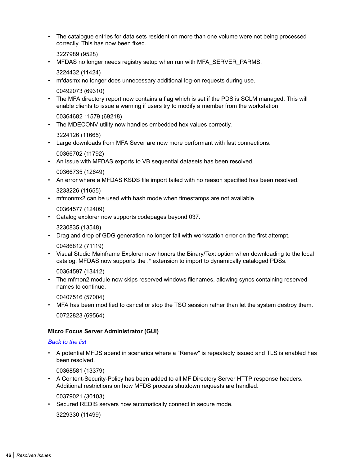• The catalogue entries for data sets resident on more than one volume were not being processed correctly. This has now been fixed.

3227989 (9528)

• MFDAS no longer needs registry setup when run with MFA\_SERVER\_PARMS.

3224432 (11424)

• mfdasmx no longer does unnecessary additional log-on requests during use.

00492073 (69310)

• The MFA directory report now contains a flag which is set if the PDS is SCLM managed. This will enable clients to issue a warning if users try to modify a member from the workstation.

00364682 11579 (69218)

• The MDECONV utility now handles embedded hex values correctly.

3224126 (11665)

• Large downloads from MFA Sever are now more performant with fast connections.

00366702 (11792)

• An issue with MFDAS exports to VB sequential datasets has been resolved.

00366735 (12649)

• An error where a MFDAS KSDS file import failed with no reason specified has been resolved.

3233226 (11655)

• mfmonmx2 can be used with hash mode when timestamps are not available.

00364577 (12409)

• Catalog explorer now supports codepages beyond 037.

3230835 (13548)

• Drag and drop of GDG generation no longer fail with workstation error on the first attempt.

00486812 (71119)

• Visual Studio Mainframe Explorer now honors the Binary/Text option when downloading to the local catalog. MFDAS now supports the .\* extension to import to dynamically cataloged PDSs.

00364597 (13412)

• The mfmon2 module now skips reserved windows filenames, allowing syncs containing reserved names to continue.

00407516 (57004)

• MFA has been modified to cancel or stop the TSO session rather than let the system destroy them. 00722823 (69564)

#### **Micro Focus Server Administrator (GUI)**

#### *[Back to the list](#page-21-0)*

• A potential MFDS abend in scenarios where a "Renew" is repeatedly issued and TLS is enabled has been resolved.

00368581 (13379)

• A Content-Security-Policy has been added to all MF Directory Server HTTP response headers. Additional restrictions on how MFDS process shutdown requests are handled.

00379021 (30103)

Secured REDIS servers now automatically connect in secure mode.

3229330 (11499)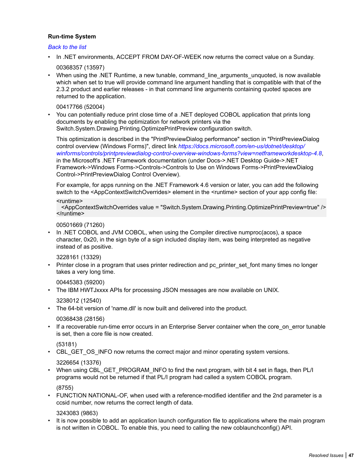#### **Run-time System**

#### *[Back to the list](#page-21-0)*

- In .NET environments, ACCEPT FROM DAY-OF-WEEK now returns the correct value on a Sunday. 00368357 (13597)
- When using the .NET Runtime, a new tunable, command\_line\_arguments\_unquoted, is now available which when set to true will provide command line argument handling that is compatible with that of the 2.3.2 product and earlier releases - in that command line arguments containing quoted spaces are returned to the application.

#### 00417766 (52004)

• You can potentially reduce print close time of a .NET deployed COBOL application that prints long documents by enabling the optimization for network printers via the Switch.System.Drawing.Printing.OptimizePrintPreview configuration switch.

This optimization is described in the "PrintPreviewDialog performance" section in "PrintPreviewDialog control overview (Windows Forms)", direct link *[https://docs.microsoft.com/en-us/dotnet/desktop/](HTTPS://DOCS.MICROSOFT.COM/EN-US/DOTNET/DESKTOP/WINFORMS/CONTROLS/PRINTPREVIEWDIALOG-CONTROL-OVERVIEW-WINDOWS-FORMS?VIEW=NETFRAMEWORKDESKTOP-4.8) [winforms/controls/printpreviewdialog-control-overview-windows-forms?view=netframeworkdesktop-4.8](HTTPS://DOCS.MICROSOFT.COM/EN-US/DOTNET/DESKTOP/WINFORMS/CONTROLS/PRINTPREVIEWDIALOG-CONTROL-OVERVIEW-WINDOWS-FORMS?VIEW=NETFRAMEWORKDESKTOP-4.8)*, in the Microsoft's .NET Framework documentation (under Docs->.NET Desktop Guide->.NET Framework->Windows Forms->Controls->Controls to Use on Windows Forms->PrintPreviewDialog Control->PrintPreviewDialog Control Overview).

For example, for apps running on the .NET Framework 4.6 version or later, you can add the following switch to the <AppContextSwitchOverrides> element in the <runtime> section of your app config file:

#### <runtime>

 <AppContextSwitchOverrides value = "Switch.System.Drawing.Printing.OptimizePrintPreview=true" /> </runtime>

#### 00501669 (71260)

In .NET COBOL and JVM COBOL, when using the Compiler directive numproc(acos), a space character, 0x20, in the sign byte of a sign included display item, was being interpreted as negative instead of as positive.

#### 3228161 (13329)

• Printer close in a program that uses printer redirection and pc printer set font many times no longer takes a very long time.

#### 00445383 (59200)

• The IBM HWTJxxxx APIs for processing JSON messages are now available on UNIX.

3238012 (12540)

• The 64-bit version of 'name.dll' is now built and delivered into the product.

00368438 (28156)

If a recoverable run-time error occurs in an Enterprise Server container when the core\_on\_error tunable is set, then a core file is now created.

(53181)

• CBL\_GET\_OS\_INFO now returns the correct major and minor operating system versions.

3226654 (13376)

• When using CBL\_GET\_PROGRAM\_INFO to find the next program, with bit 4 set in flags, then PL/I programs would not be returned if that PL/I program had called a system COBOL program.

(8755)

• FUNCTION NATIONAL-OF, when used with a reference-modified identifier and the 2nd parameter is a ccsid number, now returns the correct length of data.

3243083 (9863)

It is now possible to add an application launch configuration file to applications where the main program is not written in COBOL. To enable this, you need to calling the new coblaunchconfig() API.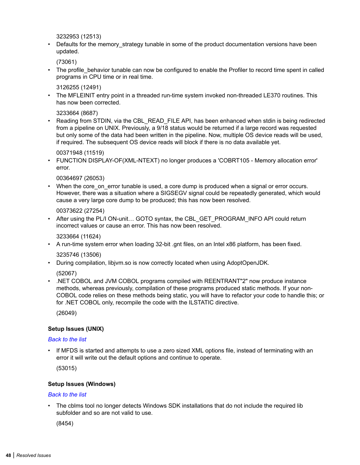3232953 (12513)

Defaults for the memory strategy tunable in some of the product documentation versions have been updated.

(73061)

• The profile behavior tunable can now be configured to enable the Profiler to record time spent in called programs in CPU time or in real time.

3126255 (12491)

• The MFLEINIT entry point in a threaded run-time system invoked non-threaded LE370 routines. This has now been corrected.

3233664 (8687)

• Reading from STDIN, via the CBL\_READ\_FILE API, has been enhanced when stdin is being redirected from a pipeline on UNIX. Previously, a 9/18 status would be returned if a large record was requested but only some of the data had been written in the pipeline. Now, multiple OS device reads will be used, if required. The subsequent OS device reads will block if there is no data available yet.

00371948 (11519)

• FUNCTION DISPLAY-OF(XML-NTEXT) no longer produces a 'COBRT105 - Memory allocation error' error.

00364697 (26053)

When the core on error tunable is used, a core dump is produced when a signal or error occurs. However, there was a situation where a SIGSEGV signal could be repeatedly generated, which would cause a very large core dump to be produced; this has now been resolved.

00373622 (27254)

• After using the PL/I ON-unit... GOTO syntax, the CBL GET PROGRAM INFO API could return incorrect values or cause an error. This has now been resolved.

3233664 (11624)

• A run-time system error when loading 32-bit .gnt files, on an Intel x86 platform, has been fixed.

3235746 (13506)

• During compilation, libjvm.so is now correctly located when using AdoptOpenJDK.

(52067)

• .NET COBOL and JVM COBOL programs compiled with REENTRANT"2" now produce instance methods, whereas previously, compilation of these programs produced static methods. If your non-COBOL code relies on these methods being static, you will have to refactor your code to handle this; or for .NET COBOL only, recompile the code with the ILSTATIC directive.

(26049)

#### **Setup Issues (UNIX)**

#### *[Back to the list](#page-21-0)*

• If MFDS is started and attempts to use a zero sized XML options file, instead of terminating with an error it will write out the default options and continue to operate.

(53015)

#### **Setup Issues (Windows)**

#### *[Back to the list](#page-21-0)*

• The cblms tool no longer detects Windows SDK installations that do not include the required lib subfolder and so are not valid to use.

(8454)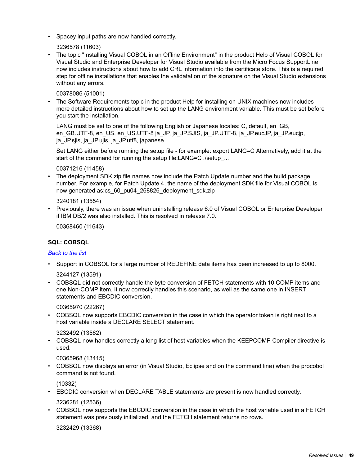• Spacey input paths are now handled correctly.

3236578 (11603)

• The topic "Installing Visual COBOL in an Offline Environment" in the product Help of Visual COBOL for Visual Studio and Enterprise Developer for Visual Studio available from the Micro Focus SupportLine now includes instructions about how to add CRL information into the certificate store. This is a required step for offline installations that enables the validatation of the signature on the Visual Studio extensions without any errors.

00378086 (51001)

• The Software Requirements topic in the product Help for installing on UNIX machines now includes more detailed instructions about how to set up the LANG environment variable. This must be set before you start the installation.

LANG must be set to one of the following English or Japanese locales: C, default, en GB, en\_GB.UTF-8, en\_US, en\_US.UTF-8 ja\_JP, ja\_JP.SJIS, ja\_JP.UTF-8, ja\_JP.eucJP, ja\_JP.eucjp, ja\_JP.sjis, ja\_JP.ujis, ja\_JP.utf8, japanese

Set LANG either before running the setup file - for example: export LANG=C Alternatively, add it at the start of the command for running the setup file:LANG=C ./setup\_...

00371216 (11458)

• The deployment SDK zip file names now include the Patch Update number and the build package number. For example, for Patch Update 4, the name of the deployment SDK file for Visual COBOL is now generated as:cs\_60\_pu04\_268826\_deployment\_sdk.zip

3240181 (13554)

• Previously, there was an issue when uninstalling release 6.0 of Visual COBOL or Enterprise Developer if IBM DB/2 was also installed. This is resolved in release 7.0.

00368460 (11643)

#### **SQL: COBSQL**

#### *[Back to the list](#page-21-0)*

• Support in COBSQL for a large number of REDEFINE data items has been increased to up to 8000.

3244127 (13591)

• COBSQL did not correctly handle the byte conversion of FETCH statements with 10 COMP items and one Non-COMP item. It now correctly handles this scenario, as well as the same one in INSERT statements and EBCDIC conversion.

00365970 (22267)

• COBSQL now supports EBCDIC conversion in the case in which the operator token is right next to a host variable inside a DECLARE SELECT statement.

3232492 (13562)

• COBSQL now handles correctly a long list of host variables when the KEEPCOMP Compiler directive is used.

00365968 (13415)

• COBSQL now displays an error (in Visual Studio, Eclipse and on the command line) when the procobol command is not found.

(10332)

• EBCDIC conversion when DECLARE TABLE statements are present is now handled correctly.

3236281 (12536)

• COBSQL now supports the EBCDIC conversion in the case in which the host variable used in a FETCH statement was previously initialized, and the FETCH statement returns no rows.

3232429 (13368)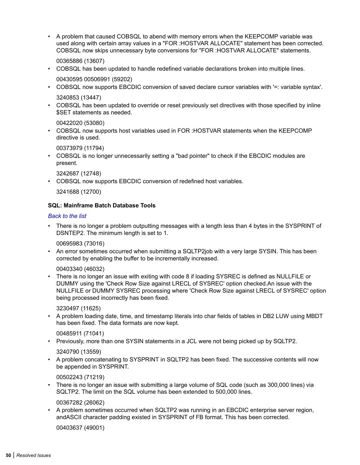• A problem that caused COBSQL to abend with memory errors when the KEEPCOMP variable was used along with certain array values in a "FOR :HOSTVAR ALLOCATE" statement has been corrected. COBSQL now skips unnecessary byte conversions for "FOR :HOSTVAR ALLOCATE" statements.

00365886 (13607)

• COBSQL has been updated to handle redefined variable declarations broken into multiple lines.

00430595 00506991 (59202)

- COBSQL now supports EBCDIC conversion of saved declare cursor variables with '=: variable syntax'. 3240853 (13447)
- COBSQL has been updated to override or reset previously set directives with those specified by inline \$SET statements as needed.

00422020 (53080)

• COBSQL now supports host variables used in FOR :HOSTVAR statements when the KEEPCOMP directive is used.

00373979 (11794)

• COBSQL is no longer unnecessarily setting a "bad pointer" to check if the EBCDIC modules are present.

3242687 (12748)

• COBSQL now supports EBCDIC conversion of redefined host variables.

3241688 (12700)

#### **SQL: Mainframe Batch Database Tools**

#### *[Back to the list](#page-21-0)*

• There is no longer a problem outputting messages with a length less than 4 bytes in the SYSPRINT of DSNTEP2. The minimum length is set to 1.

00695983 (73016)

• An error sometimes occurred when submitting a SQLTP2job with a very large SYSIN. This has been corrected by enabling the buffer to be incrementally increased.

#### 00403340 (46032)

• There is no longer an issue with exiting with code 8 if loading SYSREC is defined as NULLFILE or DUMMY using the 'Check Row Size against LRECL of SYSREC' option checked.An issue with the NULLFILE or DUMMY SYSREC processing where 'Check Row Size against LRECL of SYSREC' option being processed incorrectly has been fixed.

3230497 (11625)

• A problem loading date, time, and timestamp literals into char fields of tables in DB2 LUW using MBDT has been fixed. The data formats are now kept.

00485911 (71041)

• Previously, more than one SYSIN statements in a JCL were not being picked up by SQLTP2.

#### 3240790 (13559)

• A problem concatenating to SYSPRINT in SQLTP2 has been fixed. The successive contents will now be appended in SYSPRINT.

00502243 (71219)

• There is no longer an issue with submitting a large volume of SQL code (such as 300,000 lines) via SQLTP2. The limit on the SQL volume has been extended to 500,000 lines.

00367282 (26062)

• A problem sometimes occurred when SQLTP2 was running in an EBCDIC enterprise server region, andASCII character padding existed in SYSPRINT of FB format. This has been corrected.

00403637 (49001)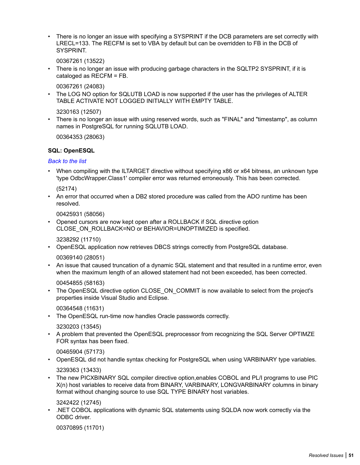There is no longer an issue with specifying a SYSPRINT if the DCB parameters are set correctly with LRECL=133. The RECFM is set to VBA by default but can be overridden to FB in the DCB of SYSPRINT.

00367261 (13522)

• There is no longer an issue with producing garbage characters in the SQLTP2 SYSPRINT, if it is cataloged as RECFM = FB.

00367261 (24083)

• The LOG NO option for SQLUTB LOAD is now supported if the user has the privileges of ALTER TABLE ACTIVATE NOT LOGGED INITIALLY WITH EMPTY TABLE.

3230163 (12507)

• There is no longer an issue with using reserved words, such as "FINAL" and "timestamp", as column names in PostgreSQL for running SQLUTB LOAD.

00364353 (28063)

#### **SQL: OpenESQL**

*[Back to the list](#page-21-0)*

• When compiling with the ILTARGET directive without specifying x86 or x64 bitness, an unknown type 'type OdbcWrapper.Class1' compiler error was returned erroneously. This has been corrected.

(52174)

• An error that occurred when a DB2 stored procedure was called from the ADO runtime has been resolved.

00425931 (58056)

• Opened cursors are now kept open after a ROLLBACK if SQL directive option CLOSE\_ON\_ROLLBACK=NO or BEHAVIOR=UNOPTIMIZED is specified.

3238292 (11710)

• OpenESQL application now retrieves DBCS strings correctly from PostgreSQL database.

00369140 (28051)

• An issue that caused truncation of a dynamic SQL statement and that resulted in a runtime error, even when the maximum length of an allowed statement had not been exceeded, has been corrected.

00454855 (58163)

The OpenESQL directive option CLOSE\_ON\_COMMIT is now available to select from the project's properties inside Visual Studio and Eclipse.

00364548 (11631)

• The OpenESQL run-time now handles Oracle passwords correctly.

3230203 (13545)

• A problem that prevented the OpenESQL preprocessor from recognizing the SQL Server OPTIMZE FOR syntax has been fixed.

00465904 (57173)

- OpenESQL did not handle syntax checking for PostgreSQL when using VARBINARY type variables. 3239363 (13433)
- The new PICXBINARY SQL compiler directive option,enables COBOL and PL/I programs to use PIC X(n) host variables to receive data from BINARY, VARBINARY, LONGVARBINARY columns in binary format without changing source to use SQL TYPE BINARY host variables.

3242422 (12745)

• .NET COBOL applications with dynamic SQL statements using SQLDA now work correctly via the ODBC driver.

00370895 (11701)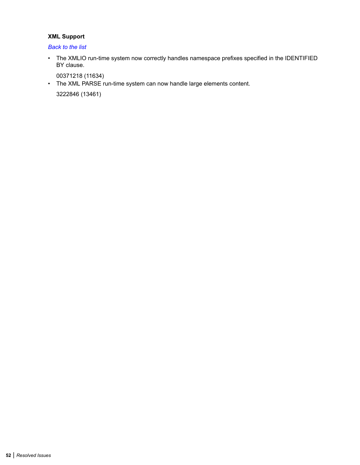#### **XML Support**

*[Back to the list](#page-21-0)*

• The XMLIO run-time system now correctly handles namespace prefixes specified in the IDENTIFIED BY clause.

00371218 (11634)

• The XML PARSE run-time system can now handle large elements content.

3222846 (13461)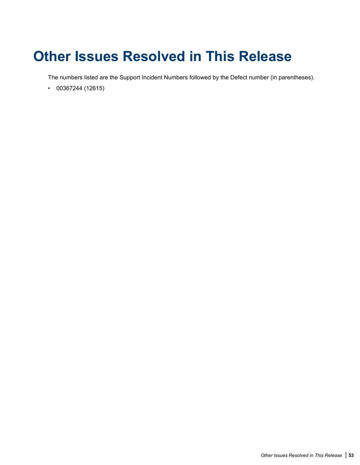# **Other Issues Resolved in This Release**

The numbers listed are the Support Incident Numbers followed by the Defect number (in parentheses).

• 00367244 (12615)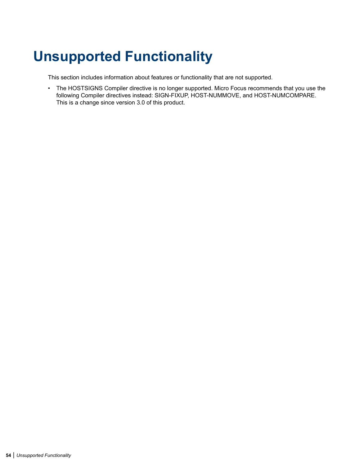# **Unsupported Functionality**

This section includes information about features or functionality that are not supported.

• The HOSTSIGNS Compiler directive is no longer supported. Micro Focus recommends that you use the following Compiler directives instead: SIGN-FIXUP, HOST-NUMMOVE, and HOST-NUMCOMPARE. This is a change since version 3.0 of this product.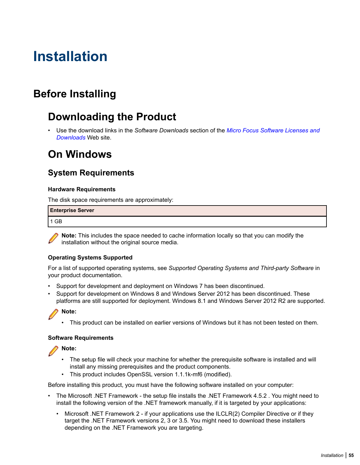# **Installation**

## **Before Installing**

## **Downloading the Product**

• Use the download links in the *Software Downloads* section of the *[Micro Focus Software Licenses and](https://sld.microfocus.com/mysoftware/download/downloadCenter) [Downloads](https://sld.microfocus.com/mysoftware/download/downloadCenter)* Web site.

## **On Windows**

### **System Requirements**

#### **Hardware Requirements**

The disk space requirements are approximately:

| <b>Enterprise Server</b> |  |
|--------------------------|--|
| 1 GB                     |  |

**Note:** This includes the space needed to cache information locally so that you can modify the installation without the original source media.

#### **Operating Systems Supported**

For a list of supported operating systems, see *Supported Operating Systems and Third-party Software* in your product documentation.

- Support for development and deployment on Windows 7 has been discontinued.
- Support for development on Windows 8 and Windows Server 2012 has been discontinued. These platforms are still supported for deployment. Windows 8.1 and Windows Server 2012 R2 are supported.

#### **Note:**

• This product can be installed on earlier versions of Windows but it has not been tested on them.

#### **Software Requirements**

**Note:**

- The setup file will check your machine for whether the prerequisite software is installed and will install any missing prerequisites and the product components.
- This product includes OpenSSL version 1.1.1k-mf6 (modified).

Before installing this product, you must have the following software installed on your computer:

- The Microsoft .NET Framework the setup file installs the .NET Framework 4.5.2 . You might need to install the following version of the .NET framework manually, if it is targeted by your applications:
	- Microsoft .NET Framework 2 if your applications use the ILCLR(2) Compiler Directive or if they target the .NET Framework versions 2, 3 or 3.5. You might need to download these installers depending on the .NET Framework you are targeting.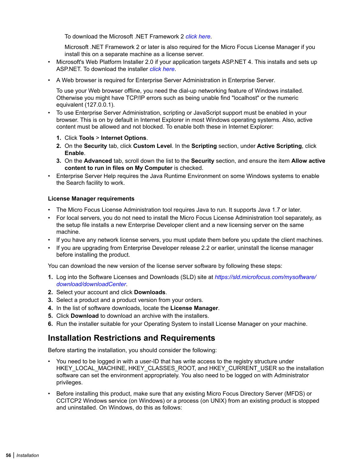To download the Microsoft .NET Framework 2 *[click here](http://www.microfocus.com/docs/links.asp?nx=FW20Redist)*.

Microsoft .NET Framework 2 or later is also required for the Micro Focus License Manager if you install this on a separate machine as a license server.

- Microsoft's Web Platform Installer 2.0 if your application targets ASP.NET 4. This installs and sets up ASP.NET. To download the installer *[click here](http://www.microfocus.com/docs/links.asp?nx=WPI20)*.
- A Web browser is required for Enterprise Server Administration in Enterprise Server.

To use your Web browser offline, you need the dial-up networking feature of Windows installed. Otherwise you might have TCP/IP errors such as being unable find "localhost" or the numeric equivalent (127.0.0.1).

- To use Enterprise Server Administration, scripting or JavaScript support must be enabled in your browser. This is on by default in Internet Explorer in most Windows operating systems. Also, active content must be allowed and not blocked. To enable both these in Internet Explorer:
	- **1.** Click **Tools** > **Internet Options**.
	- **2.** On the **Security** tab, click **Custom Level**. In the **Scripting** section, under **Active Scripting**, click **Enable**.
	- **3.** On the **Advanced** tab, scroll down the list to the **Security** section, and ensure the item **Allow active content to run in files on My Computer** is checked.
- Enterprise Server Help requires the Java Runtime Environment on some Windows systems to enable the Search facility to work.

#### **License Manager requirements**

- The Micro Focus License Administration tool requires Java to run. It supports Java 1.7 or later.
- For local servers, you do not need to install the Micro Focus License Administration tool separately, as the setup file installs a new Enterprise Developer client and a new licensing server on the same machine.
- If you have any network license servers, you must update them before you update the client machines.
- If you are upgrading from Enterprise Developer release 2.2 or earlier, uninstall the license manager before installing the product.

You can download the new version of the license server software by following these steps:

- **1.** Log into the Software Licenses and Downloads (SLD) site at *[https://sld.microfocus.com/mysoftware/](HTTPS://SLD.MICROFOCUS.COM/MYSOFTWARE/DOWNLOAD/DOWNLOADCENTER) [download/downloadCenter](HTTPS://SLD.MICROFOCUS.COM/MYSOFTWARE/DOWNLOAD/DOWNLOADCENTER)*.
- **2.** Select your account and click **Downloads**.
- **3.** Select a product and a product version from your orders.
- **4.** In the list of software downloads, locate the **License Manager**.
- **5.** Click **Download** to download an archive with the installers.
- **6.** Run the installer suitable for your Operating System to install License Manager on your machine.

### **Installation Restrictions and Requirements**

Before starting the installation, you should consider the following:

- You need to be logged in with a user-ID that has write access to the registry structure under HKEY\_LOCAL\_MACHINE, HKEY\_CLASSES\_ROOT, and HKEY\_CURRENT\_USER so the installation software can set the environment appropriately. You also need to be logged on with Administrator privileges.
- Before installing this product, make sure that any existing Micro Focus Directory Server (MFDS) or CCITCP2 Windows service (on Windows) or a process (on UNIX) from an existing product is stopped and uninstalled. On Windows, do this as follows: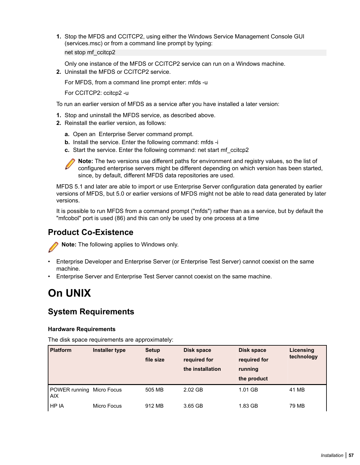**1.** Stop the MFDS and CCITCP2, using either the Windows Service Management Console GUI (services.msc) or from a command line prompt by typing: net stop mf\_ccitcp2

Only one instance of the MFDS or CCITCP2 service can run on a Windows machine.

**2.** Uninstall the MFDS or CCITCP2 service.

For MFDS, from a command line prompt enter: mfds -u

For CCITCP2: ccitcp2 -u

To run an earlier version of MFDS as a service after you have installed a later version:

- **1.** Stop and uninstall the MFDS service, as described above.
- **2.** Reinstall the earlier version, as follows:
	- **a.** Open an Enterprise Server command prompt.
	- **b.** Install the service. Enter the following command: mfds -i
	- **c.** Start the service. Enter the following command: net start mf\_ccitcp2

**Note:** The two versions use different paths for environment and registry values, so the list of configured enterprise servers might be different depending on which version has been started, since, by default, different MFDS data repositories are used.

MFDS 5.1 and later are able to import or use Enterprise Server configuration data generated by earlier versions of MFDS, but 5.0 or earlier versions of MFDS might not be able to read data generated by later versions.

It is possible to run MFDS from a command prompt ("mfds") rather than as a service, but by default the "mfcobol" port is used (86) and this can only be used by one process at a time

### **Product Co-Existence**

**Note:** The following applies to Windows only.

- Enterprise Developer and Enterprise Server (or Enterprise Test Server) cannot coexist on the same machine.
- Enterprise Server and Enterprise Test Server cannot coexist on the same machine.

### **On UNIX**

### **System Requirements**

#### **Hardware Requirements**

The disk space requirements are approximately:

| <b>Platform</b>                    | Installer type | <b>Setup</b><br>file size | <b>Disk space</b><br>required for<br>the installation | <b>Disk space</b><br>required for<br>running<br>the product | Licensing<br>technology |
|------------------------------------|----------------|---------------------------|-------------------------------------------------------|-------------------------------------------------------------|-------------------------|
| POWER running Micro Focus<br>l AIX |                | 505 MB                    | 2.02 GB                                               | 1.01 GB                                                     | 41 MB                   |
| l HP IA                            | Micro Focus    | 912 MB                    | 3.65 GB                                               | 1.83 GB                                                     | 79 MB                   |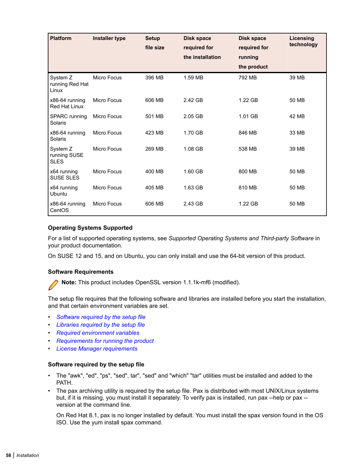| <b>Platform</b>                         | <b>Installer type</b> | <b>Setup</b><br>file size | <b>Disk space</b><br>required for<br>the installation | Disk space<br>required for<br>running<br>the product | Licensing<br>technology |
|-----------------------------------------|-----------------------|---------------------------|-------------------------------------------------------|------------------------------------------------------|-------------------------|
| System Z<br>running Red Hat<br>Linux    | <b>Micro Focus</b>    | 396 MB                    | 1.59 MB                                               | 792 MB                                               | 39 MB                   |
| x86-64 running<br><b>Red Hat Linux</b>  | <b>Micro Focus</b>    | 606 MB                    | 2.42 GB                                               | 1.22 GB                                              | 50 MB                   |
| <b>SPARC</b> running<br>Solaris         | <b>Micro Focus</b>    | 501 MB                    | 2.05 GB                                               | 1.01 GB                                              | 42 MB                   |
| x86-64 running<br>Solaris               | <b>Micro Focus</b>    | 423 MB                    | 1.70 GB                                               | 846 MB                                               | 33 MB                   |
| System Z<br>running SUSE<br><b>SLES</b> | <b>Micro Focus</b>    | 269 MB                    | 1.08 GB                                               | 538 MB                                               | 39 MB                   |
| x64 running<br><b>SUSE SLES</b>         | <b>Micro Focus</b>    | 400 MB                    | 1.60 GB                                               | 800 MB                                               | 50 MB                   |
| x64 running<br><b>Ubuntu</b>            | <b>Micro Focus</b>    | 405 MB                    | 1.63 GB                                               | 810 MB                                               | 50 MB                   |
| x86-64 running<br>CentOS                | <b>Micro Focus</b>    | 606 MB                    | 2.43 GB                                               | 1.22 GB                                              | 50 MB                   |

#### **Operating Systems Supported**

For a list of supported operating systems, see *Supported Operating Systems and Third-party Software* in your product documentation.

On SUSE 12 and 15, and on Ubuntu, you can only install and use the 64-bit version of this product.

#### **Software Requirements**

**Note:** This product includes OpenSSL version 1.1.1k-mf6 (modified).

The setup file requires that the following software and libraries are installed before you start the installation, and that certain environment variables are set.

- *Software required by the setup file*
- *[Libraries required by the setup file](#page-58-0)*
- *[Required environment variables](#page-58-0)*
- *[Requirements for running the product](#page-59-0)*
- *[License Manager requirements](#page-59-0)*

#### **Software required by the setup file**

- The "awk", "ed", "ps", "sed", tar", "sed" and "which" "tar" utilities must be installed and added to the PATH.
- The pax archiving utility is required by the setup file. Pax is distributed with most UNIX/Linux systems but, if it is missing, you must install it separately. To verify pax is installed, run pax --help or pax - version at the command line.

On Red Hat 8.1, pax is no longer installed by default. You must install the spax version found in the OS ISO. Use the yum install spax command.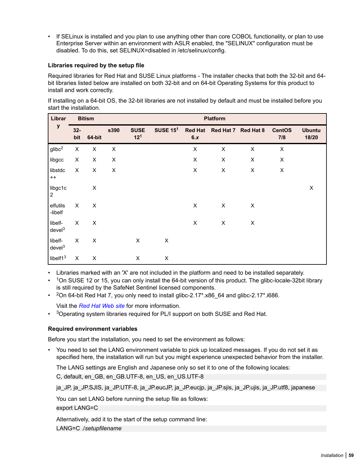<span id="page-58-0"></span>• If SELinux is installed and you plan to use anything other than core COBOL functionality, or plan to use Enterprise Server within an environment with ASLR enabled, the "SELINUX" configuration must be disabled. To do this, set SELINUX=disabled in /etc/selinux/config.

#### **Libraries required by the setup file**

Required libraries for Red Hat and SUSE Linux platforms - The installer checks that both the 32-bit and 64 bit libraries listed below are installed on both 32-bit and on 64-bit Operating Systems for this product to install and work correctly.

If installing on a 64-bit OS, the 32-bit libraries are not installed by default and must be installed before you start the installation.

| Librar                        |              | <b>Bitism</b>  | <b>Platform</b> |                                |                 |                       |                |                     |                      |                        |
|-------------------------------|--------------|----------------|-----------------|--------------------------------|-----------------|-----------------------|----------------|---------------------|----------------------|------------------------|
| у                             | $32-$<br>bit | 64-bit         | s390            | <b>SUSE</b><br>12 <sup>1</sup> | <b>SUSE 151</b> | <b>Red Hat</b><br>6.x |                | Red Hat 7 Red Hat 8 | <b>CentOS</b><br>7/8 | <b>Ubuntu</b><br>18/20 |
| $g$ libc <sup>2</sup>         | X            | X              | X               |                                |                 | X                     | $\pmb{\times}$ | $\pmb{\times}$      | $\pmb{\times}$       |                        |
| libgcc                        | X            | X              | X               |                                |                 | X                     | X              | X                   | $\pmb{\times}$       |                        |
| libstdc<br>$++$               | X            | $\pmb{\times}$ | X               |                                |                 | $\pmb{\times}$        | $\pmb{\times}$ | $\pmb{\times}$      | $\pmb{\times}$       |                        |
| libgc1c<br>$\overline{2}$     |              | $\pmb{\times}$ |                 |                                |                 |                       |                |                     |                      | $\pmb{\times}$         |
| elfutils<br>-libelf           | X            | $\pmb{\times}$ |                 |                                |                 | X                     | X              | $\pmb{\times}$      |                      |                        |
| libelf-<br>devel <sup>3</sup> | $\sf X$      | X              |                 |                                |                 | X                     | X              | X                   |                      |                        |
| libelf-<br>devel <sup>3</sup> | X            | $\pmb{\times}$ |                 | X                              | X               |                       |                |                     |                      |                        |
| libelf $13$                   | X            | X              |                 | X                              | X               |                       |                |                     |                      |                        |

• Libraries marked with an 'X' are not included in the platform and need to be installed separately.

• <sup>1</sup>On SUSE 12 or 15, you can only install the 64-bit version of this product. The glibc-locale-32bit library is still required by the SafeNet Sentinel licensed components.

 $\cdot$  <sup>2</sup>On 64-bit Red Hat 7, you only need to install glibc-2.17\*.x86\_64 and glibc-2.17\*.i686.

Visit the *[Red Hat Web site](http://www.microfocus.com/en-us/docs/links.asp?nx=redhat)* for more information.

 $•$  3 Operating system libraries required for PL/I support on both SUSE and Red Hat.

#### **Required environment variables**

Before you start the installation, you need to set the environment as follows:

• You need to set the LANG environment variable to pick up localized messages. If you do not set it as specified here, the installation will run but you might experience unexpected behavior from the installer.

The LANG settings are English and Japanese only so set it to one of the following locales:

C, default, en\_GB, en\_GB.UTF-8, en\_US, en\_US.UTF-8

ja\_JP, ja\_JP.SJIS, ja\_JP.UTF-8, ja\_JP.eucJP, ja\_JP.eucjp, ja\_JP.sjis, ja\_JP.ujis, ja\_JP.utf8, japanese

You can set LANG before running the setup file as follows:

export LANG=C

Alternatively, add it to the start of the setup command line:

LANG=C ./*setupfilename*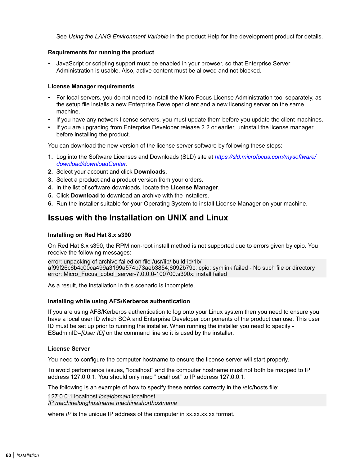<span id="page-59-0"></span>See *Using the LANG Environment Variable* in the product Help for the development product for details.

#### **Requirements for running the product**

• JavaScript or scripting support must be enabled in your browser, so that Enterprise Server Administration is usable. Also, active content must be allowed and not blocked.

#### **License Manager requirements**

- For local servers, you do not need to install the Micro Focus License Administration tool separately, as the setup file installs a new Enterprise Developer client and a new licensing server on the same machine.
- If you have any network license servers, you must update them before you update the client machines.
- If you are upgrading from Enterprise Developer release 2.2 or earlier, uninstall the license manager before installing the product.

You can download the new version of the license server software by following these steps:

- **1.** Log into the Software Licenses and Downloads (SLD) site at *[https://sld.microfocus.com/mysoftware/](HTTPS://SLD.MICROFOCUS.COM/MYSOFTWARE/DOWNLOAD/DOWNLOADCENTER) [download/downloadCenter](HTTPS://SLD.MICROFOCUS.COM/MYSOFTWARE/DOWNLOAD/DOWNLOADCENTER)*.
- **2.** Select your account and click **Downloads**.
- **3.** Select a product and a product version from your orders.
- **4.** In the list of software downloads, locate the **License Manager**.
- **5.** Click **Download** to download an archive with the installers.
- **6.** Run the installer suitable for your Operating System to install License Manager on your machine.

### **Issues with the Installation on UNIX and Linux**

#### **Installing on Red Hat 8.x s390**

On Red Hat 8.x s390, the RPM non-root install method is not supported due to errors given by cpio. You receive the following messages:

error: unpacking of archive failed on file /usr/lib/.build-id/1b/ af99f26c6b4c00ca499a3199a574b73aeb3854;6092b79c: cpio: symlink failed - No such file or directory error: Micro\_Focus\_cobol\_server-7.0.0.0-100700.s390x: install failed

As a result, the installation in this scenario is incomplete.

#### **Installing while using AFS/Kerberos authentication**

If you are using AFS/Kerberos authentication to log onto your Linux system then you need to ensure you have a local user ID which SOA and Enterprise Developer components of the product can use. This user ID must be set up prior to running the installer. When running the installer you need to specify - ESadminID=*[User ID]* on the command line so it is used by the installer.

#### **License Server**

You need to configure the computer hostname to ensure the license server will start properly.

To avoid performance issues, "localhost" and the computer hostname must not both be mapped to IP address 127.0.0.1. You should only map "localhost" to IP address 127.0.0.1.

The following is an example of how to specify these entries correctly in the /etc/hosts file:

127.0.0.1 localhost.*localdomain* localhost *IP machinelonghostname machineshorthostname*

where *IP* is the unique IP address of the computer in xx.xx.xx.xx format.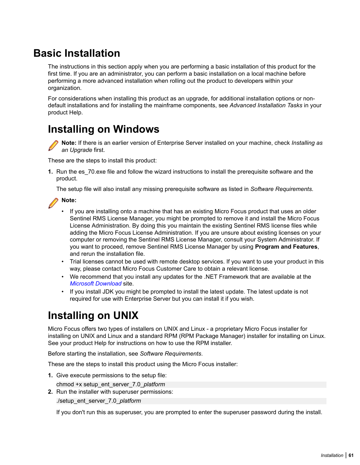## **Basic Installation**

The instructions in this section apply when you are performing a basic installation of this product for the first time. If you are an administrator, you can perform a basic installation on a local machine before performing a more advanced installation when rolling out the product to developers within your organization.

For considerations when installing this product as an upgrade, for additional installation options or nondefault installations and for installing the mainframe components, see *Advanced Installation Tasks* in your product Help.

## **Installing on Windows**



**Note:** If there is an earlier version of Enterprise Server installed on your machine, check *Installing as an Upgrade* first.

These are the steps to install this product:

**1.** Run the es 70.exe file and follow the wizard instructions to install the prerequisite software and the product.

The setup file will also install any missing prerequisite software as listed in *Software Requirements*.



- If you are installing onto a machine that has an existing Micro Focus product that uses an older Sentinel RMS License Manager, you might be prompted to remove it and install the Micro Focus License Administration. By doing this you maintain the existing Sentinel RMS license files while adding the Micro Focus License Administration. If you are unsure about existing licenses on your computer or removing the Sentinel RMS License Manager, consult your System Administrator. If you want to proceed, remove Sentinel RMS License Manager by using **Program and Features**, and rerun the installation file.
- Trial licenses cannot be used with remote desktop services. If you want to use your product in this way, please contact Micro Focus Customer Care to obtain a relevant license.
- We recommend that you install any updates for the .NET Framework that are available at the *[Microsoft Download](http://www.microfocus.com/docs/links.asp?nx=ctl1)* site.
- If you install JDK you might be prompted to install the latest update. The latest update is not required for use with Enterprise Server but you can install it if you wish.

## **Installing on UNIX**

Micro Focus offers two types of installers on UNIX and Linux - a proprietary Micro Focus installer for installing on UNIX and Linux and a standard RPM (RPM Package Manager) installer for installing on Linux. See your product Help for instructions on how to use the RPM installer.

Before starting the installation, see *Software Requirements*.

These are the steps to install this product using the Micro Focus installer:

**1.** Give execute permissions to the setup file:

chmod +x setup\_ent\_server\_7.0\_*platform*

**2.** Run the installer with superuser permissions: ./setup\_ent\_server\_7.0\_*platform*

If you don't run this as superuser, you are prompted to enter the superuser password during the install.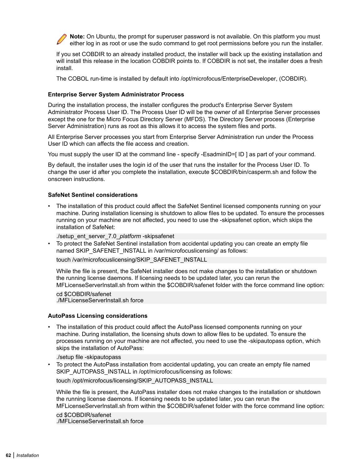

If you set COBDIR to an already installed product, the installer will back up the existing installation and will install this release in the location COBDIR points to. If COBDIR is not set, the installer does a fresh install.

The COBOL run-time is installed by default into /opt/microfocus/EnterpriseDeveloper, (COBDIR).

#### **Enterprise Server System Administrator Process**

During the installation process, the installer configures the product's Enterprise Server System Administrator Process User ID. The Process User ID will be the owner of all Enterprise Server processes except the one for the Micro Focus Directory Server (MFDS). The Directory Server process (Enterprise Server Administration) runs as root as this allows it to access the system files and ports.

All Enterprise Server processes you start from Enterprise Server Administration run under the Process User ID which can affects the file access and creation.

You must supply the user ID at the command line - specify -EsadminID=[ ID ] as part of your command.

By default, the installer uses the login id of the user that runs the installer for the Process User ID. To change the user id after you complete the installation, execute \$COBDIR/bin/casperm.sh and follow the onscreen instructions.

#### **SafeNet Sentinel considerations**

• The installation of this product could affect the SafeNet Sentinel licensed components running on your machine. During installation licensing is shutdown to allow files to be updated. To ensure the processes running on your machine are not affected, you need to use the -skipsafenet option, which skips the installation of SafeNet:

./setup\_ent\_server\_7.0\_*platform* -skipsafenet

• To protect the SafeNet Sentinel installation from accidental updating you can create an empty file named SKIP\_SAFENET\_INSTALL in /var/microfocuslicensing/ as follows:

touch /var/microfocuslicensing/SKIP\_SAFENET\_INSTALL

While the file is present, the SafeNet installer does not make changes to the installation or shutdown the running license daemons. If licensing needs to be updated later, you can rerun the MFLicenseServerInstall.sh from within the \$COBDIR/safenet folder with the force command line option:

cd \$COBDIR/safenet ./MFLicenseServerInstall.sh force

#### **AutoPass Licensing considerations**

• The installation of this product could affect the AutoPass licensed components running on your machine. During installation, the licensing shuts down to allow files to be updated. To ensure the processes running on your machine are not affected, you need to use the -skipautopass option, which skips the installation of AutoPass:

./setup file -skipautopass

• To protect the AutoPass installation from accidental updating, you can create an empty file named SKIP\_AUTOPASS\_INSTALL in /opt/microfocus/licensing as follows:

touch /opt/microfocus/licensing/SKIP\_AUTOPASS\_INSTALL

While the file is present, the AutoPass installer does not make changes to the installation or shutdown the running license daemons. If licensing needs to be updated later, you can rerun the MFLicenseServerInstall.sh from within the \$COBDIR/safenet folder with the force command line option:

cd \$COBDIR/safenet ./MFLicenseServerInstall.sh force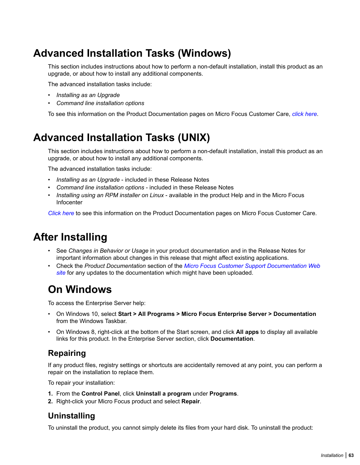## **Advanced Installation Tasks (Windows)**

This section includes instructions about how to perform a non-default installation, install this product as an upgrade, or about how to install any additional components.

The advanced installation tasks include:

- *Installing as an Upgrade*
- *Command line installation options*

To see this information on the Product Documentation pages on Micro Focus Customer Care, *[click here](https://www.microfocus.com/documentation/enterprise-developer/ed60/ES-WIN/GUID-C557E6C9-4179-44B8-B999-4D97759CEB6E.html)*.

## **Advanced Installation Tasks (UNIX)**

This section includes instructions about how to perform a non-default installation, install this product as an upgrade, or about how to install any additional components.

The advanced installation tasks include:

- *Installing as an Upgrade* included in these Release Notes
- *Command line installation options* included in these Release Notes
- *Installing using an RPM installer on Linux* available in the product Help and in the Micro Focus Infocenter

*[Click here](https://www.microfocus.com/documentation/enterprise-developer/ed60/ES-UNIX/GUID-C0249210-5A8D-4C74-9EF0-8BC0915E89F6.html)* to see this information on the Product Documentation pages on Micro Focus Customer Care.

### **After Installing**

- See *Changes in Behavior or Usage* in your product documentation and in the Release Notes for important information about changes in this release that might affect existing applications.
- Check the *Product Documentation* section of the *[Micro Focus Customer Support Documentation Web](https://www.microfocus.com/en-us/support/documentation/) [site](https://www.microfocus.com/en-us/support/documentation/)* for any updates to the documentation which might have been uploaded.

## **On Windows**

To access the Enterprise Server help:

- On Windows 10, select **Start > All Programs > Micro Focus Enterprise Server > Documentation** from the Windows Taskbar.
- On Windows 8, right-click at the bottom of the Start screen, and click **All apps** to display all available links for this product. In the Enterprise Server section, click **Documentation**.

### **Repairing**

If any product files, registry settings or shortcuts are accidentally removed at any point, you can perform a repair on the installation to replace them.

To repair your installation:

- **1.** From the **Control Panel**, click **Uninstall a program** under **Programs**.
- **2.** Right-click your Micro Focus product and select **Repair**.

### **Uninstalling**

To uninstall the product, you cannot simply delete its files from your hard disk. To uninstall the product: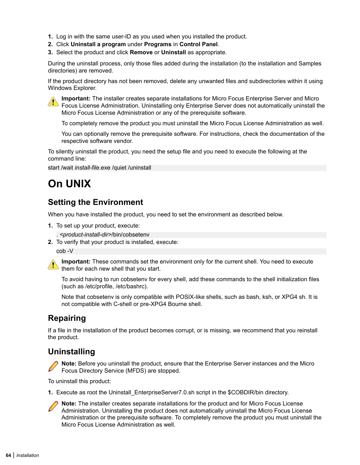- **1.** Log in with the same user-ID as you used when you installed the product.
- **2.** Click **Uninstall a program** under **Programs** in **Control Panel**.
- **3.** Select the product and click **Remove** or **Uninstall** as appropriate.

During the uninstall process, only those files added during the installation (to the installation and Samples directories) are removed.

If the product directory has not been removed, delete any unwanted files and subdirectories within it using Windows Explorer.



**Important:** The installer creates separate installations for Micro Focus Enterprise Server and Micro Focus License Administration. Uninstalling only Enterprise Server does not automatically uninstall the Micro Focus License Administration or any of the prerequisite software.

To completely remove the product you must uninstall the Micro Focus License Administration as well.

You can optionally remove the prerequisite software. For instructions, check the documentation of the respective software vendor.

To silently uninstall the product, you need the setup file and you need to execute the following at the command line:

start /wait *install-file*.exe /quiet /uninstall

## **On UNIX**

### **Setting the Environment**

When you have installed the product, you need to set the environment as described below.

**1.** To set up your product, execute:

. *<product-install-dir>*/bin/cobsetenv

**2.** To verify that your product is installed, execute:

cob -V



**Important:** These commands set the environment only for the current shell. You need to execute  $\blacksquare$  them for each new shell that you start.

To avoid having to run cobsetenv for every shell, add these commands to the shell initialization files (such as /etc/profile, /etc/bashrc).

Note that cobsetenv is only compatible with POSIX-like shells, such as bash, ksh, or XPG4 sh. It is not compatible with C-shell or pre-XPG4 Bourne shell.

### **Repairing**

If a file in the installation of the product becomes corrupt, or is missing, we recommend that you reinstall the product.

### **Uninstalling**

**Note:** Before you uninstall the product, ensure that the Enterprise Server instances and the Micro Focus Directory Service (MFDS) are stopped.

To uninstall this product:

**1.** Execute as root the Uninstall\_EnterpriseServer7.0.sh script in the \$COBDIR/bin directory.



**Note:** The installer creates separate installations for the product and for Micro Focus License Administration. Uninstalling the product does not automatically uninstall the Micro Focus License Administration or the prerequisite software. To completely remove the product you must uninstall the Micro Focus License Administration as well.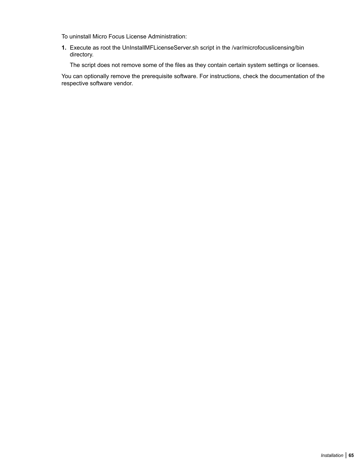To uninstall Micro Focus License Administration:

**1.** Execute as root the UnInstallMFLicenseServer.sh script in the /var/microfocuslicensing/bin directory.

The script does not remove some of the files as they contain certain system settings or licenses.

You can optionally remove the prerequisite software. For instructions, check the documentation of the respective software vendor.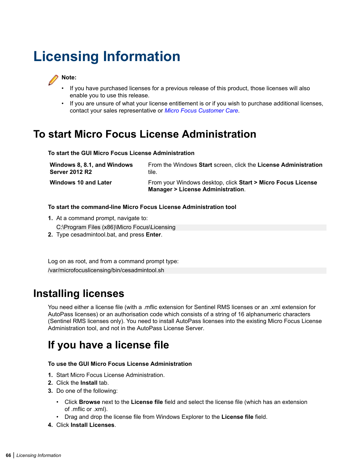# **Licensing Information**



- If you have purchased licenses for a previous release of this product, those licenses will also enable you to use this release.
- If you are unsure of what your license entitlement is or if you wish to purchase additional licenses, contact your sales representative or *[Micro Focus Customer Care](http://supportline.microfocus.com/)*.

## **To start Micro Focus License Administration**

#### **To start the GUI Micro Focus License Administration**

| Windows 8, 8.1, and Windows | From the Windows Start screen, click the License Administration                                             |
|-----------------------------|-------------------------------------------------------------------------------------------------------------|
| <b>Server 2012 R2</b>       | tile.                                                                                                       |
| <b>Windows 10 and Later</b> | From your Windows desktop, click Start > Micro Focus License<br><b>Manager &gt; License Administration.</b> |

#### **To start the command-line Micro Focus License Administration tool**

**1.** At a command prompt, navigate to:

C:\Program Files (x86)\Micro Focus\Licensing

**2.** Type cesadmintool.bat, and press **Enter**.

Log on as root, and from a command prompt type: /var/microfocuslicensing/bin/cesadmintool.sh

### **Installing licenses**

You need either a license file (with a .mflic extension for Sentinel RMS licenses or an .xml extension for AutoPass licenses) or an authorisation code which consists of a string of 16 alphanumeric characters (Sentinel RMS licenses only). You need to install AutoPass licenses into the existing Micro Focus License Administration tool, and not in the AutoPass License Server.

## **If you have a license file**

#### **To use the GUI Micro Focus License Administration**

- **1.** Start Micro Focus License Administration.
- **2.** Click the **Install** tab.
- **3.** Do one of the following:
	- Click **Browse** next to the **License file** field and select the license file (which has an extension of .mflic or .xml).
	- Drag and drop the license file from Windows Explorer to the **License file** field.
- **4.** Click **Install Licenses**.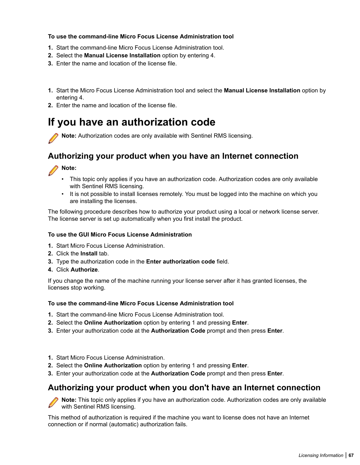#### **To use the command-line Micro Focus License Administration tool**

- **1.** Start the command-line Micro Focus License Administration tool.
- **2.** Select the **Manual License Installation** option by entering 4.
- **3.** Enter the name and location of the license file.
- **1.** Start the Micro Focus License Administration tool and select the **Manual License Installation** option by entering 4.
- **2.** Enter the name and location of the license file.

### **If you have an authorization code**

**Note:** Authorization codes are only available with Sentinel RMS licensing.

### **Authorizing your product when you have an Internet connection**

#### **Note:**

- This topic only applies if you have an authorization code. Authorization codes are only available with Sentinel RMS licensing.
- It is not possible to install licenses remotely. You must be logged into the machine on which you are installing the licenses.

The following procedure describes how to authorize your product using a local or network license server. The license server is set up automatically when you first install the product.

#### **To use the GUI Micro Focus License Administration**

- **1.** Start Micro Focus License Administration.
- **2.** Click the **Install** tab.
- **3.** Type the authorization code in the **Enter authorization code** field.
- **4.** Click **Authorize**.

If you change the name of the machine running your license server after it has granted licenses, the licenses stop working.

#### **To use the command-line Micro Focus License Administration tool**

- **1.** Start the command-line Micro Focus License Administration tool.
- **2.** Select the **Online Authorization** option by entering 1 and pressing **Enter**.
- **3.** Enter your authorization code at the **Authorization Code** prompt and then press **Enter**.
- **1.** Start Micro Focus License Administration.
- **2.** Select the **Online Authorization** option by entering 1 and pressing **Enter**.
- **3.** Enter your authorization code at the **Authorization Code** prompt and then press **Enter**.

### **Authorizing your product when you don't have an Internet connection**

**Note:** This topic only applies if you have an authorization code. Authorization codes are only available with Sentinel RMS licensing.

This method of authorization is required if the machine you want to license does not have an Internet connection or if normal (automatic) authorization fails.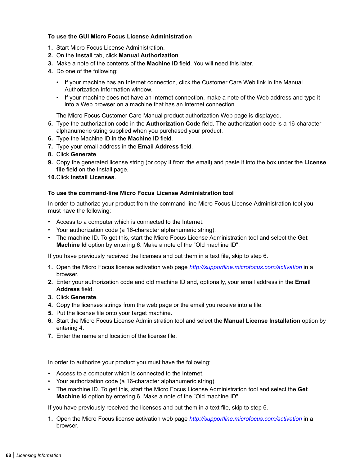#### **To use the GUI Micro Focus License Administration**

- **1.** Start Micro Focus License Administration.
- **2.** On the **Install** tab, click **Manual Authorization**.
- **3.** Make a note of the contents of the **Machine ID** field. You will need this later.
- **4.** Do one of the following:
	- If your machine has an Internet connection, click the Customer Care Web link in the Manual Authorization Information window.
	- If your machine does not have an Internet connection, make a note of the Web address and type it into a Web browser on a machine that has an Internet connection.

The Micro Focus Customer Care Manual product authorization Web page is displayed.

- **5.** Type the authorization code in the **Authorization Code** field. The authorization code is a 16-character alphanumeric string supplied when you purchased your product.
- **6.** Type the Machine ID in the **Machine ID** field.
- **7.** Type your email address in the **Email Address** field.
- **8.** Click **Generate**.
- **9.** Copy the generated license string (or copy it from the email) and paste it into the box under the **License file** field on the Install page.
- **10.**Click **Install Licenses**.

#### **To use the command-line Micro Focus License Administration tool**

In order to authorize your product from the command-line Micro Focus License Administration tool you must have the following:

- Access to a computer which is connected to the Internet.
- Your authorization code (a 16-character alphanumeric string).
- The machine ID. To get this, start the Micro Focus License Administration tool and select the **Get Machine Id** option by entering 6. Make a note of the "Old machine ID".

If you have previously received the licenses and put them in a text file, skip to step 6.

- **1.** Open the Micro Focus license activation web page *<http://supportline.microfocus.com/activation>* in a browser.
- **2.** Enter your authorization code and old machine ID and, optionally, your email address in the **Email Address** field.
- **3.** Click **Generate**.
- **4.** Copy the licenses strings from the web page or the email you receive into a file.
- **5.** Put the license file onto your target machine.
- **6.** Start the Micro Focus License Administration tool and select the **Manual License Installation** option by entering 4.
- **7.** Enter the name and location of the license file.

In order to authorize your product you must have the following:

- Access to a computer which is connected to the Internet.
- Your authorization code (a 16-character alphanumeric string).
- The machine ID. To get this, start the Micro Focus License Administration tool and select the **Get Machine Id** option by entering 6. Make a note of the "Old machine ID".

If you have previously received the licenses and put them in a text file, skip to step 6.

**1.** Open the Micro Focus license activation web page *<http://supportline.microfocus.com/activation>* in a browser.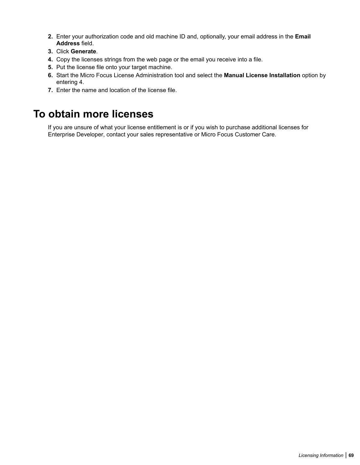- **2.** Enter your authorization code and old machine ID and, optionally, your email address in the **Email Address** field.
- **3.** Click **Generate**.
- **4.** Copy the licenses strings from the web page or the email you receive into a file.
- **5.** Put the license file onto your target machine.
- **6.** Start the Micro Focus License Administration tool and select the **Manual License Installation** option by entering 4.
- **7.** Enter the name and location of the license file.

### **To obtain more licenses**

If you are unsure of what your license entitlement is or if you wish to purchase additional licenses for Enterprise Developer, contact your sales representative or Micro Focus Customer Care.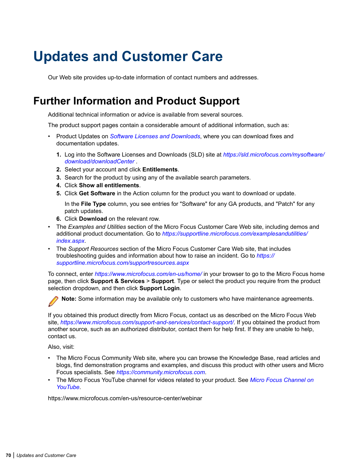# **Updates and Customer Care**

Our Web site provides up-to-date information of contact numbers and addresses.

### **Further Information and Product Support**

Additional technical information or advice is available from several sources.

The product support pages contain a considerable amount of additional information, such as:

- Product Updates on *[Software Licenses and Downloads](https://sld.microfocus.com/mysoftware/download/downloadCenter)*, where you can download fixes and documentation updates.
	- **1.** Log into the Software Licenses and Downloads (SLD) site at *[https://sld.microfocus.com/mysoftware/](HTTPS://SLD.MICROFOCUS.COM/MYSOFTWARE/DOWNLOAD/DOWNLOADCENTER) [download/downloadCenter](HTTPS://SLD.MICROFOCUS.COM/MYSOFTWARE/DOWNLOAD/DOWNLOADCENTER)* .
	- **2.** Select your account and click **Entitlements**.
	- **3.** Search for the product by using any of the available search parameters.
	- **4.** Click **Show all entitlements**.
	- **5.** Click **Get Software** in the Action column for the product you want to download or update.

In the **File Type** column, you see entries for "Software" for any GA products, and "Patch" for any patch updates.

- **6.** Click **Download** on the relevant row.
- The *Examples and Utilities* section of the Micro Focus Customer Care Web site, including demos and additional product documentation. Go to *[https://supportline.microfocus.com/examplesandutilities/](https://supportline.microfocus.com/examplesandutilities/index.aspx) [index.aspx](https://supportline.microfocus.com/examplesandutilities/index.aspx)*.
- The *Support Resources* section of the Micro Focus Customer Care Web site, that includes troubleshooting guides and information about how to raise an incident. Go to *[https://](https://supportline.microfocus.com/supportresources.aspx) [supportline.microfocus.com/supportresources.aspx](https://supportline.microfocus.com/supportresources.aspx)*

To connect, enter *<https://www.microfocus.com/en-us/home/>* in your browser to go to the Micro Focus home page, then click **Support & Services** > **Support**. Type or select the product you require from the product selection dropdown, and then click **Support Login**.



**Note:** Some information may be available only to customers who have maintenance agreements.

If you obtained this product directly from Micro Focus, contact us as described on the Micro Focus Web site, *<https://www.microfocus.com/support-and-services/contact-support/>*. If you obtained the product from another source, such as an authorized distributor, contact them for help first. If they are unable to help, contact us.

Also, visit:

- The Micro Focus Community Web site, where you can browse the Knowledge Base, read articles and blogs, find demonstration programs and examples, and discuss this product with other users and Micro Focus specialists. See *<https://community.microfocus.com>*.
- The Micro Focus YouTube channel for videos related to your product. See *[Micro Focus Channel on](https://www.youtube.com/microfocus) [YouTube](https://www.youtube.com/microfocus)*.

https://www.microfocus.com/en-us/resource-center/webinar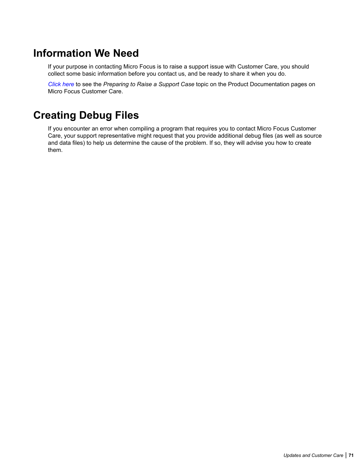### **Information We Need**

If your purpose in contacting Micro Focus is to raise a support issue with Customer Care, you should collect some basic information before you contact us, and be ready to share it when you do.

*[Click here](https://www.microfocus.com/documentation/enterprise-developer/ed70/ES-WIN/GUID-1674F9FE-E6BF-4685-A381-D6514E2016B9.html)* to see the *Preparing to Raise a Support Case* topic on the Product Documentation pages on Micro Focus Customer Care.

## **Creating Debug Files**

If you encounter an error when compiling a program that requires you to contact Micro Focus Customer Care, your support representative might request that you provide additional debug files (as well as source and data files) to help us determine the cause of the problem. If so, they will advise you how to create them.